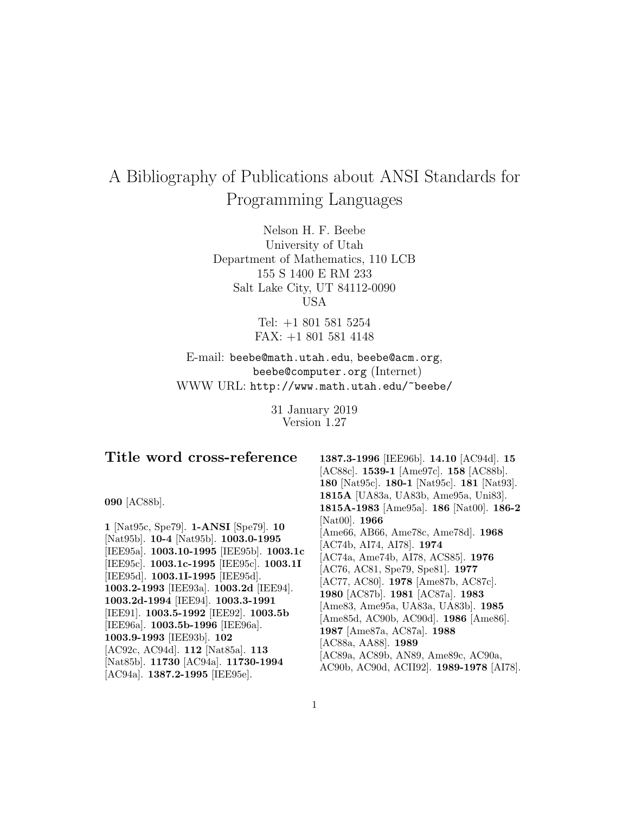# A Bibliography of Publications about ANSI Standards for Programming Languages

Nelson H. F. Beebe University of Utah Department of Mathematics, 110 LCB 155 S 1400 E RM 233 Salt Lake City, UT 84112-0090 USA

> Tel: +1 801 581 5254 FAX: +1 801 581 4148

E-mail: beebe@math.utah.edu, beebe@acm.org, beebe@computer.org (Internet) WWW URL: http://www.math.utah.edu/~beebe/

> 31 January 2019 Version 1.27

# **Title word cross-reference**

**090** [AC88b].

**1** [Nat95c, Spe79]. **1-ANSI** [Spe79]. **10** [Nat95b]. **10-4** [Nat95b]. **1003.0-1995** [IEE95a]. **1003.10-1995** [IEE95b]. **1003.1c** [IEE95c]. **1003.1c-1995** [IEE95c]. **1003.1I** [IEE95d]. **1003.1I-1995** [IEE95d]. **1003.2-1993** [IEE93a]. **1003.2d** [IEE94]. **1003.2d-1994** [IEE94]. **1003.3-1991** [IEE91]. **1003.5-1992** [IEE92]. **1003.5b** [IEE96a]. **1003.5b-1996** [IEE96a]. **1003.9-1993** [IEE93b]. **102** [AC92c, AC94d]. **112** [Nat85a]. **113** [Nat85b]. **11730** [AC94a]. **11730-1994** [AC94a]. **1387.2-1995** [IEE95e].

**1387.3-1996** [IEE96b]. **14.10** [AC94d]. **15** [AC88c]. **1539-1** [Ame97c]. **158** [AC88b]. **180** [Nat95c]. **180-1** [Nat95c]. **181** [Nat93]. **1815A** [UA83a, UA83b, Ame95a, Uni83]. **1815A-1983** [Ame95a]. **186** [Nat00]. **186-2** [Nat00]. **1966** [Ame66, AB66, Ame78c, Ame78d]. **1968** [AC74b, AI74, AI78]. **1974** [AC74a, Ame74b, AI78, ACS85]. **1976** [AC76, AC81, Spe79, Spe81]. **1977** [AC77, AC80]. **1978** [Ame87b, AC87c]. **1980** [AC87b]. **1981** [AC87a]. **1983** [Ame83, Ame95a, UA83a, UA83b]. **1985** [Ame85d, AC90b, AC90d]. **1986** [Ame86]. **1987** [Ame87a, AC87a]. **1988** [AC88a, AA88]. **1989** [AC89a, AC89b, AN89, Ame89c, AC90a, AC90b, AC90d, ACII92]. **1989-1978** [AI78].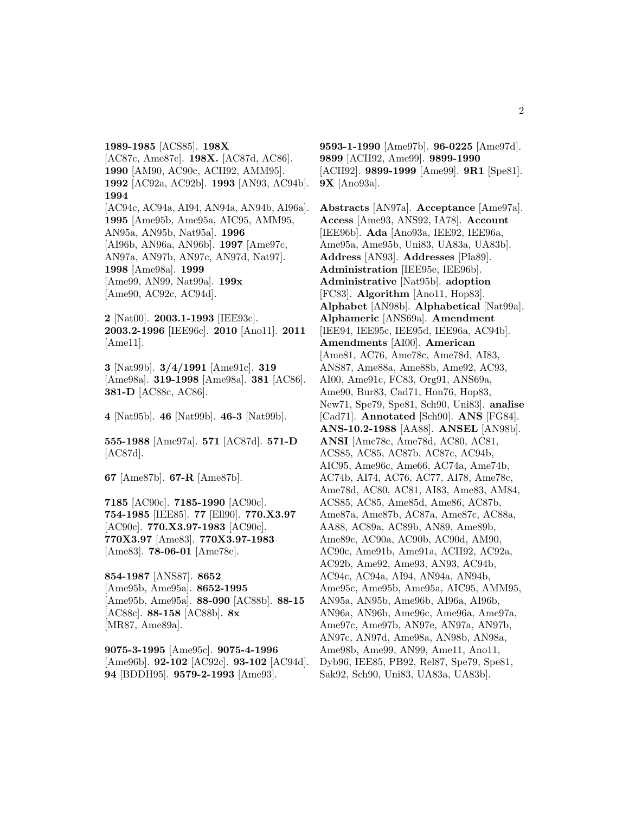**1989-1985** [ACS85]. **198X** [AC87c, Ame87c]. **198X.** [AC87d, AC86]. **1990** [AM90, AC90c, ACII92, AMM95]. **1992** [AC92a, AC92b]. **1993** [AN93, AC94b]. **1994** [AC94c, AC94a, AI94, AN94a, AN94b, AI96a]. **1995** [Ame95b, Ame95a, AIC95, AMM95, AN95a, AN95b, Nat95a]. **1996** [AI96b, AN96a, AN96b]. **1997** [Ame97c, AN97a, AN97b, AN97c, AN97d, Nat97]. **1998** [Ame98a]. **1999** [Ame99, AN99, Nat99a]. **199x** [Ame90, AC92c, AC94d].

**2** [Nat00]. **2003.1-1993** [IEE93c]. **2003.2-1996** [IEE96c]. **2010** [Ano11]. **2011** [Ame11].

**3** [Nat99b]. **3/4/1991** [Ame91c]. **319** [Ame98a]. **319-1998** [Ame98a]. **381** [AC86]. **381-D** [AC88c, AC86].

**4** [Nat95b]. **46** [Nat99b]. **46-3** [Nat99b].

**555-1988** [Ame97a]. **571** [AC87d]. **571-D** [AC87d].

**67** [Ame87b]. **67-R** [Ame87b].

**7185** [AC90c]. **7185-1990** [AC90c]. **754-1985** [IEE85]. **77** [Ell90]. **770.X3.97** [AC90c]. **770.X3.97-1983** [AC90c]. **770X3.97** [Ame83]. **770X3.97-1983** [Ame83]. **78-06-01** [Ame78e].

**854-1987** [ANS87]. **8652** [Ame95b, Ame95a]. **8652-1995** [Ame95b, Ame95a]. **88-090** [AC88b]. **88-15** [AC88c]. **88-158** [AC88b]. **8x** [MR87, Ame89a].

**9075-3-1995** [Ame95c]. **9075-4-1996** [Ame96b]. **92-102** [AC92c]. **93-102** [AC94d]. **94** [BDDH95]. **9579-2-1993** [Ame93].

**9593-1-1990** [Ame97b]. **96-0225** [Ame97d]. **9899** [ACII92, Ame99]. **9899-1990** [ACII92]. **9899-1999** [Ame99]. **9R1** [Spe81]. **9X** [Ano93a].

**Abstracts** [AN97a]. **Acceptance** [Ame97a]. **Access** [Ame93, ANS92, IA78]. **Account** [IEE96b]. **Ada** [Ano93a, IEE92, IEE96a, Ame95a, Ame95b, Uni83, UA83a, UA83b]. **Address** [AN93]. **Addresses** [Pla89]. **Administration** [IEE95e, IEE96b]. **Administrative** [Nat95b]. **adoption** [FC83]. **Algorithm** [Ano11, Hop83]. **Alphabet** [AN98b]. **Alphabetical** [Nat99a]. **Alphameric** [ANS69a]. **Amendment** [IEE94, IEE95c, IEE95d, IEE96a, AC94b]. **Amendments** [AI00]. **American** [Ame81, AC76, Ame78c, Ame78d, AI83, ANS87, Ame88a, Ame88b, Ame92, AC93, AI00, Ame91c, FC83, Org91, ANS69a, Ame90, Bur83, Cad71, Hon76, Hop83, New71, Spe79, Spe81, Sch90, Uni83]. **analise** [Cad71]. **Annotated** [Sch90]. **ANS** [FG84]. **ANS-10.2-1988** [AA88]. **ANSEL** [AN98b]. **ANSI** [Ame78c, Ame78d, AC80, AC81, ACS85, AC85, AC87b, AC87c, AC94b, AIC95, Ame96c, Ame66, AC74a, Ame74b, AC74b, AI74, AC76, AC77, AI78, Ame78c, Ame78d, AC80, AC81, AI83, Ame83, AM84, ACS85, AC85, Ame85d, Ame86, AC87b, Ame87a, Ame87b, AC87a, Ame87c, AC88a, AA88, AC89a, AC89b, AN89, Ame89b, Ame89c, AC90a, AC90b, AC90d, AM90, AC90c, Ame91b, Ame91a, ACII92, AC92a, AC92b, Ame92, Ame93, AN93, AC94b, AC94c, AC94a, AI94, AN94a, AN94b, Ame95c, Ame95b, Ame95a, AIC95, AMM95, AN95a, AN95b, Ame96b, AI96a, AI96b, AN96a, AN96b, Ame96c, Ame96a, Ame97a, Ame97c, Ame97b, AN97e, AN97a, AN97b, AN97c, AN97d, Ame98a, AN98b, AN98a, Ame98b, Ame99, AN99, Ame11, Ano11, Dyb96, IEE85, PB92, Rel87, Spe79, Spe81, Sak92, Sch90, Uni83, UA83a, UA83b].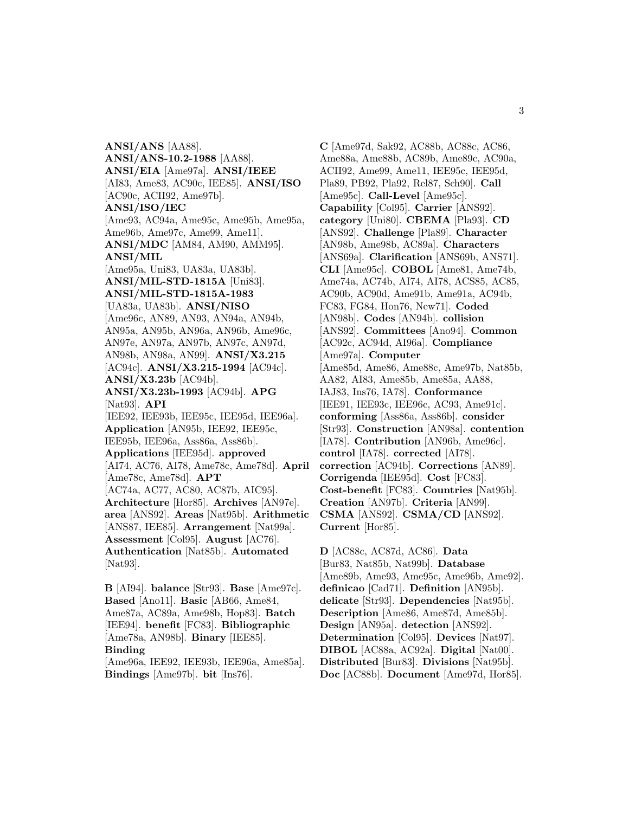**ANSI/ANS** [AA88]. **ANSI/ANS-10.2-1988** [AA88]. **ANSI/EIA** [Ame97a]. **ANSI/IEEE** [AI83, Ame83, AC90c, IEE85]. **ANSI/ISO** [AC90c, ACII92, Ame97b]. **ANSI/ISO/IEC** [Ame93, AC94a, Ame95c, Ame95b, Ame95a, Ame96b, Ame97c, Ame99, Ame11]. **ANSI/MDC** [AM84, AM90, AMM95]. **ANSI/MIL** [Ame95a, Uni83, UA83a, UA83b]. **ANSI/MIL-STD-1815A** [Uni83]. **ANSI/MIL-STD-1815A-1983** [UA83a, UA83b]. **ANSI/NISO** [Ame96c, AN89, AN93, AN94a, AN94b, AN95a, AN95b, AN96a, AN96b, Ame96c, AN97e, AN97a, AN97b, AN97c, AN97d, AN98b, AN98a, AN99]. **ANSI/X3.215** [AC94c]. **ANSI/X3.215-1994** [AC94c]. **ANSI/X3.23b** [AC94b]. **ANSI/X3.23b-1993** [AC94b]. **APG** [Nat93]. **API** [IEE92, IEE93b, IEE95c, IEE95d, IEE96a]. **Application** [AN95b, IEE92, IEE95c, IEE95b, IEE96a, Ass86a, Ass86b]. **Applications** [IEE95d]. **approved** [AI74, AC76, AI78, Ame78c, Ame78d]. **April** [Ame78c, Ame78d]. **APT** [AC74a, AC77, AC80, AC87b, AIC95]. **Architecture** [Hor85]. **Archives** [AN97e]. **area** [ANS92]. **Areas** [Nat95b]. **Arithmetic** [ANS87, IEE85]. **Arrangement** [Nat99a]. **Assessment** [Col95]. **August** [AC76]. **Authentication** [Nat85b]. **Automated** [Nat93].

**B** [AI94]. **balance** [Str93]. **Base** [Ame97c]. **Based** [Ano11]. **Basic** [AB66, Ame84, Ame87a, AC89a, Ame98b, Hop83]. **Batch** [IEE94]. **benefit** [FC83]. **Bibliographic** [Ame78a, AN98b]. **Binary** [IEE85]. **Binding** [Ame96a, IEE92, IEE93b, IEE96a, Ame85a].

**Bindings** [Ame97b]. **bit** [Ins76].

**C** [Ame97d, Sak92, AC88b, AC88c, AC86, Ame88a, Ame88b, AC89b, Ame89c, AC90a, ACII92, Ame99, Ame11, IEE95c, IEE95d, Pla89, PB92, Pla92, Rel87, Sch90]. **Call** [Ame95c]. **Call-Level** [Ame95c]. **Capability** [Col95]. **Carrier** [ANS92]. **category** [Uni80]. **CBEMA** [Pla93]. **CD** [ANS92]. **Challenge** [Pla89]. **Character** [AN98b, Ame98b, AC89a]. **Characters** [ANS69a]. **Clarification** [ANS69b, ANS71]. **CLI** [Ame95c]. **COBOL** [Ame81, Ame74b, Ame74a, AC74b, AI74, AI78, ACS85, AC85, AC90b, AC90d, Ame91b, Ame91a, AC94b, FC83, FG84, Hon76, New71]. **Coded** [AN98b]. **Codes** [AN94b]. **collision** [ANS92]. **Committees** [Ano94]. **Common** [AC92c, AC94d, AI96a]. **Compliance** [Ame97a]. **Computer** [Ame85d, Ame86, Ame88c, Ame97b, Nat85b, AA82, AI83, Ame85b, Ame85a, AA88, IAJ83, Ins76, IA78]. **Conformance** [IEE91, IEE93c, IEE96c, AC93, Ame91c]. **conforming** [Ass86a, Ass86b]. **consider** [Str93]. **Construction** [AN98a]. **contention** [IA78]. **Contribution** [AN96b, Ame96c]. **control** [IA78]. **corrected** [AI78]. **correction** [AC94b]. **Corrections** [AN89]. **Corrigenda** [IEE95d]. **Cost** [FC83]. **Cost-benefit** [FC83]. **Countries** [Nat95b]. **Creation** [AN97b]. **Criteria** [AN99]. **CSMA** [ANS92]. **CSMA/CD** [ANS92]. **Current** [Hor85].

**D** [AC88c, AC87d, AC86]. **Data** [Bur83, Nat85b, Nat99b]. **Database** [Ame89b, Ame93, Ame95c, Ame96b, Ame92]. **definicao** [Cad71]. **Definition** [AN95b]. **delicate** [Str93]. **Dependencies** [Nat95b]. **Description** [Ame86, Ame87d, Ame85b]. **Design** [AN95a]. **detection** [ANS92]. **Determination** [Col95]. **Devices** [Nat97]. **DIBOL** [AC88a, AC92a]. **Digital** [Nat00]. **Distributed** [Bur83]. **Divisions** [Nat95b]. **Doc** [AC88b]. **Document** [Ame97d, Hor85].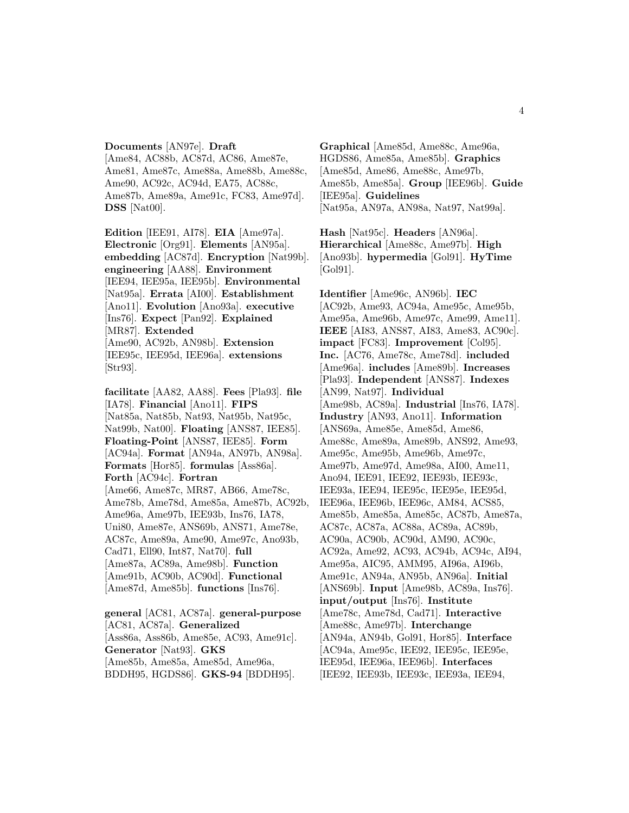# **Documents** [AN97e]. **Draft** [Ame84, AC88b, AC87d, AC86, Ame87e, Ame81, Ame87c, Ame88a, Ame88b, Ame88c, Ame90, AC92c, AC94d, EA75, AC88c, Ame87b, Ame89a, Ame91c, FC83, Ame97d]. **DSS** [Nat00].

**Edition** [IEE91, AI78]. **EIA** [Ame97a]. **Electronic** [Org91]. **Elements** [AN95a]. **embedding** [AC87d]. **Encryption** [Nat99b]. **engineering** [AA88]. **Environment** [IEE94, IEE95a, IEE95b]. **Environmental** [Nat95a]. **Errata** [AI00]. **Establishment** [Ano11]. **Evolution** [Ano93a]. **executive** [Ins76]. **Expect** [Pan92]. **Explained** [MR87]. **Extended** [Ame90, AC92b, AN98b]. **Extension** [IEE95c, IEE95d, IEE96a]. **extensions** [Str93].

**facilitate** [AA82, AA88]. **Fees** [Pla93]. **file** [IA78]. **Financial** [Ano11]. **FIPS** [Nat85a, Nat85b, Nat93, Nat95b, Nat95c, Nat99b, Nat00]. **Floating** [ANS87, IEE85]. **Floating-Point** [ANS87, IEE85]. **Form** [AC94a]. **Format** [AN94a, AN97b, AN98a]. **Formats** [Hor85]. **formulas** [Ass86a]. **Forth** [AC94c]. **Fortran** [Ame66, Ame87c, MR87, AB66, Ame78c, Ame78b, Ame78d, Ame85a, Ame87b, AC92b, Ame96a, Ame97b, IEE93b, Ins76, IA78, Uni80, Ame87e, ANS69b, ANS71, Ame78e, AC87c, Ame89a, Ame90, Ame97c, Ano93b, Cad71, Ell90, Int87, Nat70]. **full** [Ame87a, AC89a, Ame98b]. **Function** [Ame91b, AC90b, AC90d]. **Functional** [Ame87d, Ame85b]. **functions** [Ins76].

**general** [AC81, AC87a]. **general-purpose** [AC81, AC87a]. **Generalized** [Ass86a, Ass86b, Ame85e, AC93, Ame91c]. **Generator** [Nat93]. **GKS** [Ame85b, Ame85a, Ame85d, Ame96a, BDDH95, HGDS86]. **GKS-94** [BDDH95].

**Graphical** [Ame85d, Ame88c, Ame96a, HGDS86, Ame85a, Ame85b]. **Graphics** [Ame85d, Ame86, Ame88c, Ame97b, Ame85b, Ame85a]. **Group** [IEE96b]. **Guide** [IEE95a]. **Guidelines** [Nat95a, AN97a, AN98a, Nat97, Nat99a].

**Hash** [Nat95c]. **Headers** [AN96a]. **Hierarchical** [Ame88c, Ame97b]. **High** [Ano93b]. **hypermedia** [Gol91]. **HyTime** [Gol91].

**Identifier** [Ame96c, AN96b]. **IEC** [AC92b, Ame93, AC94a, Ame95c, Ame95b, Ame95a, Ame96b, Ame97c, Ame99, Ame11]. **IEEE** [AI83, ANS87, AI83, Ame83, AC90c]. **impact** [FC83]. **Improvement** [Col95]. **Inc.** [AC76, Ame78c, Ame78d]. **included** [Ame96a]. **includes** [Ame89b]. **Increases** [Pla93]. **Independent** [ANS87]. **Indexes** [AN99, Nat97]. **Individual** [Ame98b, AC89a]. **Industrial** [Ins76, IA78]. **Industry** [AN93, Ano11]. **Information** [ANS69a, Ame85e, Ame85d, Ame86, Ame88c, Ame89a, Ame89b, ANS92, Ame93, Ame95c, Ame95b, Ame96b, Ame97c, Ame97b, Ame97d, Ame98a, AI00, Ame11, Ano94, IEE91, IEE92, IEE93b, IEE93c, IEE93a, IEE94, IEE95c, IEE95e, IEE95d, IEE96a, IEE96b, IEE96c, AM84, ACS85, Ame85b, Ame85a, Ame85c, AC87b, Ame87a, AC87c, AC87a, AC88a, AC89a, AC89b, AC90a, AC90b, AC90d, AM90, AC90c, AC92a, Ame92, AC93, AC94b, AC94c, AI94, Ame95a, AIC95, AMM95, AI96a, AI96b, Ame91c, AN94a, AN95b, AN96a]. **Initial** [ANS69b]. **Input** [Ame98b, AC89a, Ins76]. **input/output** [Ins76]. **Institute** [Ame78c, Ame78d, Cad71]. **Interactive** [Ame88c, Ame97b]. **Interchange** [AN94a, AN94b, Gol91, Hor85]. **Interface** [AC94a, Ame95c, IEE92, IEE95c, IEE95e, IEE95d, IEE96a, IEE96b]. **Interfaces** [IEE92, IEE93b, IEE93c, IEE93a, IEE94,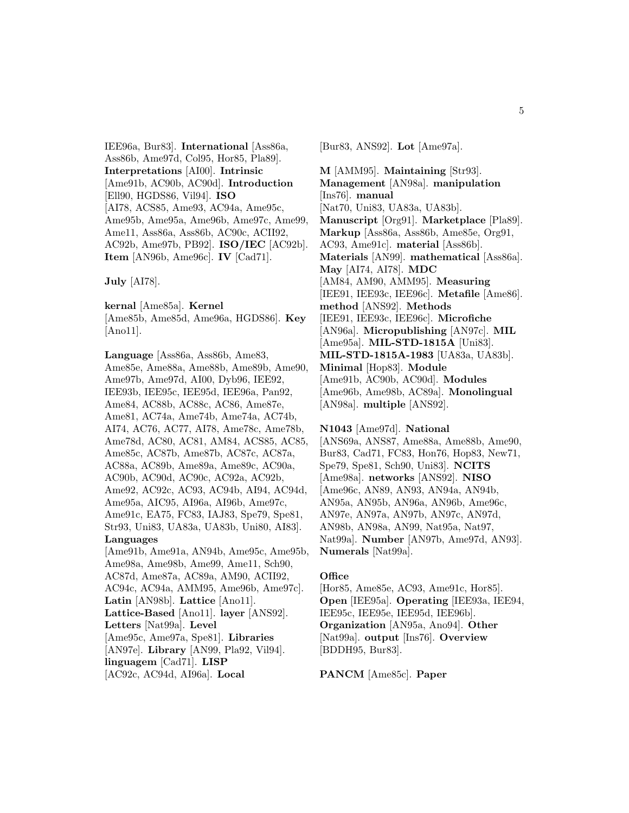IEE96a, Bur83]. **International** [Ass86a, Ass86b, Ame97d, Col95, Hor85, Pla89]. **Interpretations** [AI00]. **Intrinsic** [Ame91b, AC90b, AC90d]. **Introduction** [Ell90, HGDS86, Vil94]. **ISO** [AI78, ACS85, Ame93, AC94a, Ame95c, Ame95b, Ame95a, Ame96b, Ame97c, Ame99, Ame11, Ass86a, Ass86b, AC90c, ACII92, AC92b, Ame97b, PB92]. **ISO/IEC** [AC92b]. **Item** [AN96b, Ame96c]. **IV** [Cad71].

**July** [AI78].

**kernal** [Ame85a]. **Kernel** [Ame85b, Ame85d, Ame96a, HGDS86]. **Key** [Ano11].

**Language** [Ass86a, Ass86b, Ame83, Ame85e, Ame88a, Ame88b, Ame89b, Ame90, Ame97b, Ame97d, AI00, Dyb96, IEE92, IEE93b, IEE95c, IEE95d, IEE96a, Pan92, Ame84, AC88b, AC88c, AC86, Ame87e, Ame81, AC74a, Ame74b, Ame74a, AC74b, AI74, AC76, AC77, AI78, Ame78c, Ame78b, Ame78d, AC80, AC81, AM84, ACS85, AC85, Ame85c, AC87b, Ame87b, AC87c, AC87a, AC88a, AC89b, Ame89a, Ame89c, AC90a, AC90b, AC90d, AC90c, AC92a, AC92b, Ame92, AC92c, AC93, AC94b, AI94, AC94d, Ame95a, AIC95, AI96a, AI96b, Ame97c, Ame91c, EA75, FC83, IAJ83, Spe79, Spe81, Str93, Uni83, UA83a, UA83b, Uni80, AI83]. **Languages** [Ame91b, Ame91a, AN94b, Ame95c, Ame95b, Ame98a, Ame98b, Ame99, Ame11, Sch90, AC87d, Ame87a, AC89a, AM90, ACII92, AC94c, AC94a, AMM95, Ame96b, Ame97c]. **Latin** [AN98b]. **Lattice** [Ano11]. **Lattice-Based** [Ano11]. **layer** [ANS92]. **Letters** [Nat99a]. **Level** [Ame95c, Ame97a, Spe81]. **Libraries** [AN97e]. **Library** [AN99, Pla92, Vil94]. **linguagem** [Cad71]. **LISP** [AC92c, AC94d, AI96a]. **Local**

[Bur83, ANS92]. **Lot** [Ame97a].

**M** [AMM95]. **Maintaining** [Str93]. **Management** [AN98a]. **manipulation** [Ins76]. **manual** [Nat70, Uni83, UA83a, UA83b]. **Manuscript** [Org91]. **Marketplace** [Pla89]. **Markup** [Ass86a, Ass86b, Ame85e, Org91, AC93, Ame91c]. **material** [Ass86b]. **Materials** [AN99]. **mathematical** [Ass86a]. **May** [AI74, AI78]. **MDC** [AM84, AM90, AMM95]. **Measuring** [IEE91, IEE93c, IEE96c]. **Metafile** [Ame86]. **method** [ANS92]. **Methods** [IEE91, IEE93c, IEE96c]. **Microfiche** [AN96a]. **Micropublishing** [AN97c]. **MIL** [Ame95a]. **MIL-STD-1815A** [Uni83]. **MIL-STD-1815A-1983** [UA83a, UA83b]. **Minimal** [Hop83]. **Module** [Ame91b, AC90b, AC90d]. **Modules** [Ame96b, Ame98b, AC89a]. **Monolingual** [AN98a]. **multiple** [ANS92].

**N1043** [Ame97d]. **National** [ANS69a, ANS87, Ame88a, Ame88b, Ame90, Bur83, Cad71, FC83, Hon76, Hop83, New71, Spe79, Spe81, Sch90, Uni83]. **NCITS** [Ame98a]. **networks** [ANS92]. **NISO** [Ame96c, AN89, AN93, AN94a, AN94b, AN95a, AN95b, AN96a, AN96b, Ame96c, AN97e, AN97a, AN97b, AN97c, AN97d, AN98b, AN98a, AN99, Nat95a, Nat97, Nat99a]. **Number** [AN97b, Ame97d, AN93]. **Numerals** [Nat99a].

### **Office**

[Hor85, Ame85e, AC93, Ame91c, Hor85]. **Open** [IEE95a]. **Operating** [IEE93a, IEE94, IEE95c, IEE95e, IEE95d, IEE96b]. **Organization** [AN95a, Ano94]. **Other** [Nat99a]. **output** [Ins76]. **Overview** [BDDH95, Bur83].

**PANCM** [Ame85c]. **Paper**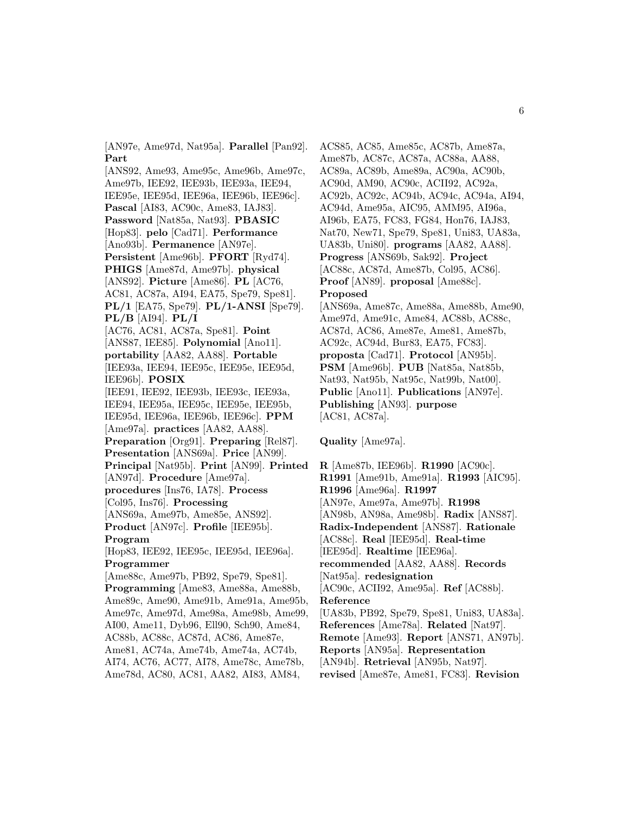[AN97e, Ame97d, Nat95a]. **Parallel** [Pan92]. **Part**

[ANS92, Ame93, Ame95c, Ame96b, Ame97c, Ame97b, IEE92, IEE93b, IEE93a, IEE94, IEE95e, IEE95d, IEE96a, IEE96b, IEE96c]. **Pascal** [AI83, AC90c, Ame83, IAJ83]. **Password** [Nat85a, Nat93]. **PBASIC** [Hop83]. **pelo** [Cad71]. **Performance** [Ano93b]. **Permanence** [AN97e]. **Persistent** [Ame96b]. **PFORT** [Ryd74]. **PHIGS** [Ame87d, Ame97b]. **physical** [ANS92]. **Picture** [Ame86]. **PL** [AC76, AC81, AC87a, AI94, EA75, Spe79, Spe81]. **PL/1** [EA75, Spe79]. **PL/1-ANSI** [Spe79]. **PL/B** [AI94]. **PL/I** [AC76, AC81, AC87a, Spe81]. **Point** [ANS87, IEE85]. **Polynomial** [Ano11]. **portability** [AA82, AA88]. **Portable** [IEE93a, IEE94, IEE95c, IEE95e, IEE95d, IEE96b]. **POSIX** [IEE91, IEE92, IEE93b, IEE93c, IEE93a, IEE94, IEE95a, IEE95c, IEE95e, IEE95b, IEE95d, IEE96a, IEE96b, IEE96c]. **PPM** [Ame97a]. **practices** [AA82, AA88]. **Preparation** [Org91]. **Preparing** [Rel87]. **Presentation** [ANS69a]. **Price** [AN99]. **Principal** [Nat95b]. **Print** [AN99]. **Printed** [AN97d]. **Procedure** [Ame97a]. **procedures** [Ins76, IA78]. **Process** [Col95, Ins76]. **Processing** [ANS69a, Ame97b, Ame85e, ANS92]. **Product** [AN97c]. **Profile** [IEE95b]. **Program** [Hop83, IEE92, IEE95c, IEE95d, IEE96a]. **Programmer** [Ame88c, Ame97b, PB92, Spe79, Spe81]. **Programming** [Ame83, Ame88a, Ame88b, Ame89c, Ame90, Ame91b, Ame91a, Ame95b, Ame97c, Ame97d, Ame98a, Ame98b, Ame99, AI00, Ame11, Dyb96, Ell90, Sch90, Ame84, AC88b, AC88c, AC87d, AC86, Ame87e, Ame81, AC74a, Ame74b, Ame74a, AC74b, AI74, AC76, AC77, AI78, Ame78c, Ame78b, Ame78d, AC80, AC81, AA82, AI83, AM84,

ACS85, AC85, Ame85c, AC87b, Ame87a, Ame87b, AC87c, AC87a, AC88a, AA88, AC89a, AC89b, Ame89a, AC90a, AC90b, AC90d, AM90, AC90c, ACII92, AC92a, AC92b, AC92c, AC94b, AC94c, AC94a, AI94, AC94d, Ame95a, AIC95, AMM95, AI96a, AI96b, EA75, FC83, FG84, Hon76, IAJ83, Nat70, New71, Spe79, Spe81, Uni83, UA83a, UA83b, Uni80]. **programs** [AA82, AA88]. **Progress** [ANS69b, Sak92]. **Project** [AC88c, AC87d, Ame87b, Col95, AC86]. **Proof** [AN89]. **proposal** [Ame88c]. **Proposed** [ANS69a, Ame87c, Ame88a, Ame88b, Ame90, Ame97d, Ame91c, Ame84, AC88b, AC88c, AC87d, AC86, Ame87e, Ame81, Ame87b, AC92c, AC94d, Bur83, EA75, FC83]. **proposta** [Cad71]. **Protocol** [AN95b]. **PSM** [Ame96b]. **PUB** [Nat85a, Nat85b, Nat93, Nat95b, Nat95c, Nat99b, Nat00]. **Public** [Ano11]. **Publications** [AN97e]. **Publishing** [AN93]. **purpose** [AC81, AC87a].

**Quality** [Ame97a].

**R** [Ame87b, IEE96b]. **R1990** [AC90c]. **R1991** [Ame91b, Ame91a]. **R1993** [AIC95]. **R1996** [Ame96a]. **R1997** [AN97e, Ame97a, Ame97b]. **R1998** [AN98b, AN98a, Ame98b]. **Radix** [ANS87]. **Radix-Independent** [ANS87]. **Rationale** [AC88c]. **Real** [IEE95d]. **Real-time** [IEE95d]. **Realtime** [IEE96a]. **recommended** [AA82, AA88]. **Records** [Nat95a]. **redesignation** [AC90c, ACII92, Ame95a]. **Ref** [AC88b]. **Reference** [UA83b, PB92, Spe79, Spe81, Uni83, UA83a]. **References** [Ame78a]. **Related** [Nat97]. **Remote** [Ame93]. **Report** [ANS71, AN97b]. **Reports** [AN95a]. **Representation** [AN94b]. **Retrieval** [AN95b, Nat97]. **revised** [Ame87e, Ame81, FC83]. **Revision**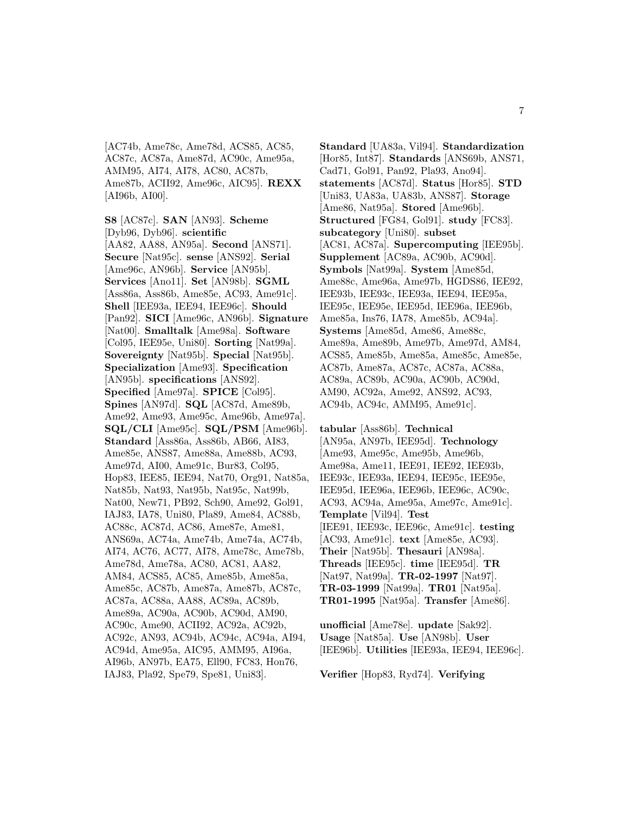[AC74b, Ame78c, Ame78d, ACS85, AC85, AC87c, AC87a, Ame87d, AC90c, Ame95a, AMM95, AI74, AI78, AC80, AC87b, Ame87b, ACII92, Ame96c, AIC95]. **REXX** [AI96b, AI00].

**S8** [AC87c]. **SAN** [AN93]. **Scheme** [Dyb96, Dyb96]. **scientific** [AA82, AA88, AN95a]. **Second** [ANS71]. **Secure** [Nat95c]. **sense** [ANS92]. **Serial** [Ame96c, AN96b]. **Service** [AN95b]. **Services** [Ano11]. **Set** [AN98b]. **SGML** [Ass86a, Ass86b, Ame85e, AC93, Ame91c]. **Shell** [IEE93a, IEE94, IEE96c]. **Should** [Pan92]. **SICI** [Ame96c, AN96b]. **Signature** [Nat00]. **Smalltalk** [Ame98a]. **Software** [Col95, IEE95e, Uni80]. **Sorting** [Nat99a]. **Sovereignty** [Nat95b]. **Special** [Nat95b]. **Specialization** [Ame93]. **Specification** [AN95b]. **specifications** [ANS92]. **Specified** [Ame97a]. **SPICE** [Col95]. **Spines** [AN97d]. **SQL** [AC87d, Ame89b, Ame92, Ame93, Ame95c, Ame96b, Ame97a]. **SQL/CLI** [Ame95c]. **SQL/PSM** [Ame96b]. **Standard** [Ass86a, Ass86b, AB66, AI83, Ame85e, ANS87, Ame88a, Ame88b, AC93, Ame97d, AI00, Ame91c, Bur83, Col95, Hop83, IEE85, IEE94, Nat70, Org91, Nat85a, Nat85b, Nat93, Nat95b, Nat95c, Nat99b, Nat00, New71, PB92, Sch90, Ame92, Gol91, IAJ83, IA78, Uni80, Pla89, Ame84, AC88b, AC88c, AC87d, AC86, Ame87e, Ame81, ANS69a, AC74a, Ame74b, Ame74a, AC74b, AI74, AC76, AC77, AI78, Ame78c, Ame78b, Ame78d, Ame78a, AC80, AC81, AA82, AM84, ACS85, AC85, Ame85b, Ame85a, Ame85c, AC87b, Ame87a, Ame87b, AC87c, AC87a, AC88a, AA88, AC89a, AC89b, Ame89a, AC90a, AC90b, AC90d, AM90, AC90c, Ame90, ACII92, AC92a, AC92b, AC92c, AN93, AC94b, AC94c, AC94a, AI94, AC94d, Ame95a, AIC95, AMM95, AI96a, AI96b, AN97b, EA75, Ell90, FC83, Hon76, IAJ83, Pla92, Spe79, Spe81, Uni83].

**Standard** [UA83a, Vil94]. **Standardization** [Hor85, Int87]. **Standards** [ANS69b, ANS71, Cad71, Gol91, Pan92, Pla93, Ano94]. **statements** [AC87d]. **Status** [Hor85]. **STD** [Uni83, UA83a, UA83b, ANS87]. **Storage** [Ame86, Nat95a]. **Stored** [Ame96b]. **Structured** [FG84, Gol91]. **study** [FC83]. **subcategory** [Uni80]. **subset** [AC81, AC87a]. **Supercomputing** [IEE95b]. **Supplement** [AC89a, AC90b, AC90d]. **Symbols** [Nat99a]. **System** [Ame85d, Ame88c, Ame96a, Ame97b, HGDS86, IEE92, IEE93b, IEE93c, IEE93a, IEE94, IEE95a, IEE95c, IEE95e, IEE95d, IEE96a, IEE96b, Ame85a, Ins76, IA78, Ame85b, AC94a]. **Systems** [Ame85d, Ame86, Ame88c, Ame89a, Ame89b, Ame97b, Ame97d, AM84, ACS85, Ame85b, Ame85a, Ame85c, Ame85e, AC87b, Ame87a, AC87c, AC87a, AC88a, AC89a, AC89b, AC90a, AC90b, AC90d, AM90, AC92a, Ame92, ANS92, AC93, AC94b, AC94c, AMM95, Ame91c].

**tabular** [Ass86b]. **Technical** [AN95a, AN97b, IEE95d]. **Technology** [Ame93, Ame95c, Ame95b, Ame96b, Ame98a, Ame11, IEE91, IEE92, IEE93b, IEE93c, IEE93a, IEE94, IEE95c, IEE95e, IEE95d, IEE96a, IEE96b, IEE96c, AC90c, AC93, AC94a, Ame95a, Ame97c, Ame91c]. **Template** [Vil94]. **Test** [IEE91, IEE93c, IEE96c, Ame91c]. **testing** [AC93, Ame91c]. **text** [Ame85e, AC93]. **Their** [Nat95b]. **Thesauri** [AN98a]. **Threads** [IEE95c]. **time** [IEE95d]. **TR** [Nat97, Nat99a]. **TR-02-1997** [Nat97]. **TR-03-1999** [Nat99a]. **TR01** [Nat95a]. **TR01-1995** [Nat95a]. **Transfer** [Ame86].

**unofficial** [Ame78e]. **update** [Sak92]. **Usage** [Nat85a]. **Use** [AN98b]. **User** [IEE96b]. **Utilities** [IEE93a, IEE94, IEE96c].

**Verifier** [Hop83, Ryd74]. **Verifying**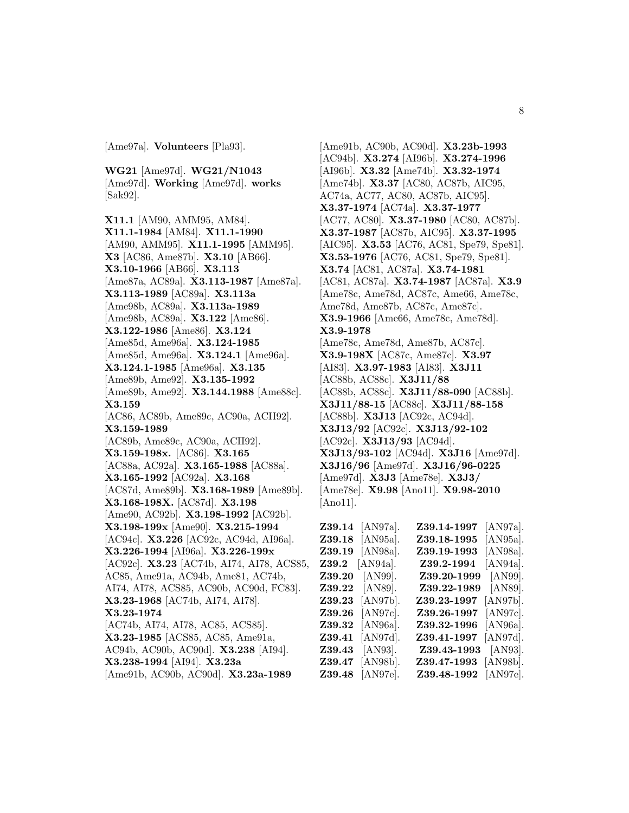[Ame97a]. **Volunteers** [Pla93].

**WG21** [Ame97d]. **WG21/N1043** [Ame97d]. **Working** [Ame97d]. **works** [Sak92].

**X11.1** [AM90, AMM95, AM84]. **X11.1-1984** [AM84]. **X11.1-1990** [AM90, AMM95]. **X11.1-1995** [AMM95]. **X3** [AC86, Ame87b]. **X3.10** [AB66]. **X3.10-1966** [AB66]. **X3.113** [Ame87a, AC89a]. **X3.113-1987** [Ame87a]. **X3.113-1989** [AC89a]. **X3.113a** [Ame98b, AC89a]. **X3.113a-1989** [Ame98b, AC89a]. **X3.122** [Ame86]. **X3.122-1986** [Ame86]. **X3.124** [Ame85d, Ame96a]. **X3.124-1985** [Ame85d, Ame96a]. **X3.124.1** [Ame96a]. **X3.124.1-1985** [Ame96a]. **X3.135** [Ame89b, Ame92]. **X3.135-1992** [Ame89b, Ame92]. **X3.144.1988** [Ame88c]. **X3.159** [AC86, AC89b, Ame89c, AC90a, ACII92]. **X3.159-1989** [AC89b, Ame89c, AC90a, ACII92]. **X3.159-198x.** [AC86]. **X3.165** [AC88a, AC92a]. **X3.165-1988** [AC88a]. **X3.165-1992** [AC92a]. **X3.168** [AC87d, Ame89b]. **X3.168-1989** [Ame89b]. **X3.168-198X.** [AC87d]. **X3.198** [Ame90, AC92b]. **X3.198-1992** [AC92b]. **X3.198-199x** [Ame90]. **X3.215-1994** [AC94c]. **X3.226** [AC92c, AC94d, AI96a]. **X3.226-1994** [AI96a]. **X3.226-199x** [AC92c]. **X3.23** [AC74b, AI74, AI78, ACS85, AC85, Ame91a, AC94b, Ame81, AC74b, AI74, AI78, ACS85, AC90b, AC90d, FC83]. **X3.23-1968** [AC74b, AI74, AI78]. **X3.23-1974** [AC74b, AI74, AI78, AC85, ACS85]. **X3.23-1985** [ACS85, AC85, Ame91a, AC94b, AC90b, AC90d]. **X3.238** [AI94]. **X3.238-1994** [AI94]. **X3.23a**

[Ame91b, AC90b, AC90d]. **X3.23a-1989**

[Ame91b, AC90b, AC90d]. **X3.23b-1993** [AC94b]. **X3.274** [AI96b]. **X3.274-1996** [AI96b]. **X3.32** [Ame74b]. **X3.32-1974** [Ame74b]. **X3.37** [AC80, AC87b, AIC95, AC74a, AC77, AC80, AC87b, AIC95]. **X3.37-1974** [AC74a]. **X3.37-1977** [AC77, AC80]. **X3.37-1980** [AC80, AC87b]. **X3.37-1987** [AC87b, AIC95]. **X3.37-1995** [AIC95]. **X3.53** [AC76, AC81, Spe79, Spe81]. **X3.53-1976** [AC76, AC81, Spe79, Spe81]. **X3.74** [AC81, AC87a]. **X3.74-1981** [AC81, AC87a]. **X3.74-1987** [AC87a]. **X3.9** [Ame78c, Ame78d, AC87c, Ame66, Ame78c, Ame78d, Ame87b, AC87c, Ame87c]. **X3.9-1966** [Ame66, Ame78c, Ame78d]. **X3.9-1978** [Ame78c, Ame78d, Ame87b, AC87c]. **X3.9-198X** [AC87c, Ame87c]. **X3.97** [AI83]. **X3.97-1983** [AI83]. **X3J11** [AC88b, AC88c]. **X3J11/88** [AC88b, AC88c]. **X3J11/88-090** [AC88b]. **X3J11/88-15** [AC88c]. **X3J11/88-158** [AC88b]. **X3J13** [AC92c, AC94d]. **X3J13/92** [AC92c]. **X3J13/92-102** [AC92c]. **X3J13/93** [AC94d]. **X3J13/93-102** [AC94d]. **X3J16** [Ame97d]. **X3J16/96** [Ame97d]. **X3J16/96-0225** [Ame97d]. **X3J3** [Ame78e]. **X3J3/** [Ame78e]. **X9.98** [Ano11]. **X9.98-2010**

[Ano11].

| $\mathbf{Z}39.14$ | $[ANS7a]$ .       | Z39.14-1997              | $[$ AN97a $].$    |
|-------------------|-------------------|--------------------------|-------------------|
| $\bf 239.18$      | $[$ AN95a $].$    | $\rm Z39.18\text{-}1995$ | $[$ AN95a $].$    |
| $\mathbf{Z39.19}$ | $[ANS8a]$ .       | Z39.19-1993              | $[ANS8a]$ .       |
| $\bf 239.2$       | $[AN94a]$ .       | Z39.2-1994               | $[$ AN94a $].$    |
| $\bf Z39.20$      | $[ANS9]$ .        | Z39.20-1999              | [ANS9].           |
| <b>Z39.22</b>     | $[ANS9]$ .        | Z39.22-1989              | $[ANS9]$ .        |
| $\bf Z39.23$      | $[$ AN97b $].$    | Z39.23-1997              | $[ANS7b]$ .       |
| $\bf Z39.26$      | $[{\rm AN97c}]$ . | $\rm Z39.26$ -1997       | $[{\rm AN}97c]$ . |
| $\bf Z39.32$      | $[AN96a]$ .       | Z39.32-1996              | $[AN96a]$ .       |
| $\bf Z39.41$      | [AN97d].          | Z39.41-1997              | $[$ AN97d].       |
| $\bf Z39.43$      | $[ANS3]$ .        | Z39.43-1993              | $[ANS3]$ .        |
| $\mathbf{Z}39.47$ | $[ANS8b]$ .       | Z39.47-1993              | $[ANS8b]$ .       |
| $\,239.48$        | [AN97e].          | Z39.48-1992              | [AN97e].          |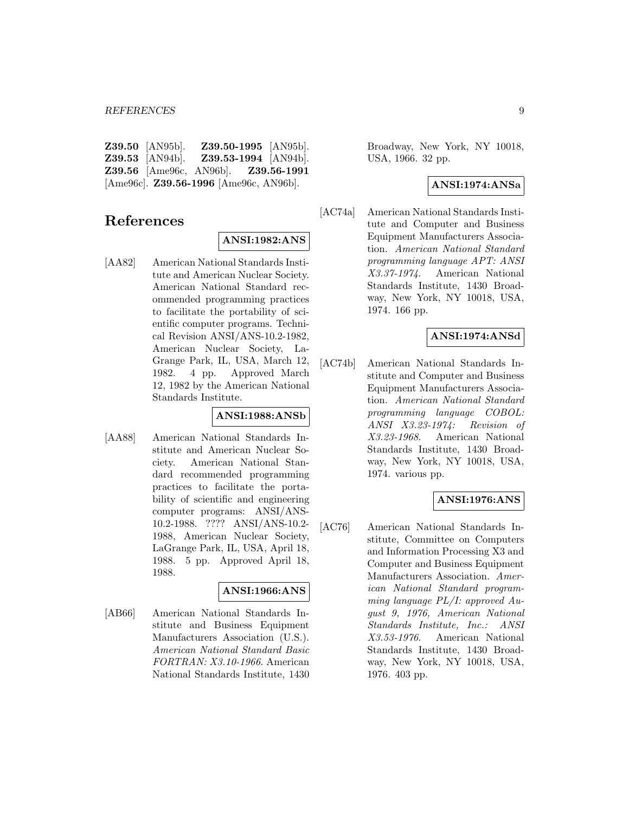| $Z39.50$ [AN95b].      |                                                   | Z39.50-1995 [AN95b].        |
|------------------------|---------------------------------------------------|-----------------------------|
| <b>Z39.53</b> [AN94b]. |                                                   | <b>Z39.53-1994</b> [AN94b]. |
|                        | <b>Z39.56</b> [Ame96c, AN96b]. <b>Z39.56-1991</b> |                             |
|                        | [Ame96c]. $Z39.56-1996$ [Ame96c, AN96b].          |                             |

# **References**

#### **ANSI:1982:ANS**

[AA82] American National Standards Institute and American Nuclear Society. American National Standard recommended programming practices to facilitate the portability of scientific computer programs. Technical Revision ANSI/ANS-10.2-1982, American Nuclear Society, La-Grange Park, IL, USA, March 12, 1982. 4 pp. Approved March 12, 1982 by the American National Standards Institute.

### **ANSI:1988:ANSb**

[AA88] American National Standards Institute and American Nuclear Society. American National Standard recommended programming practices to facilitate the portability of scientific and engineering computer programs: ANSI/ANS-10.2-1988. ???? ANSI/ANS-10.2- 1988, American Nuclear Society, LaGrange Park, IL, USA, April 18, 1988. 5 pp. Approved April 18, 1988.

### **ANSI:1966:ANS**

[AB66] American National Standards Institute and Business Equipment Manufacturers Association (U.S.). American National Standard Basic FORTRAN: X3.10-1966. American National Standards Institute, 1430

Broadway, New York, NY 10018, USA, 1966. 32 pp.

### **ANSI:1974:ANSa**

[AC74a] American National Standards Institute and Computer and Business Equipment Manufacturers Association. American National Standard programming language APT: ANSI X3.37-1974. American National Standards Institute, 1430 Broadway, New York, NY 10018, USA, 1974. 166 pp.

## **ANSI:1974:ANSd**

[AC74b] American National Standards Institute and Computer and Business Equipment Manufacturers Association. American National Standard programming language COBOL: ANSI X3.23-1974: Revision of X3.23-1968. American National Standards Institute, 1430 Broadway, New York, NY 10018, USA, 1974. various pp.

### **ANSI:1976:ANS**

[AC76] American National Standards Institute, Committee on Computers and Information Processing X3 and Computer and Business Equipment Manufacturers Association. American National Standard programming language PL/I: approved August 9, 1976, American National Standards Institute, Inc.: ANSI X3.53-1976. American National Standards Institute, 1430 Broadway, New York, NY 10018, USA, 1976. 403 pp.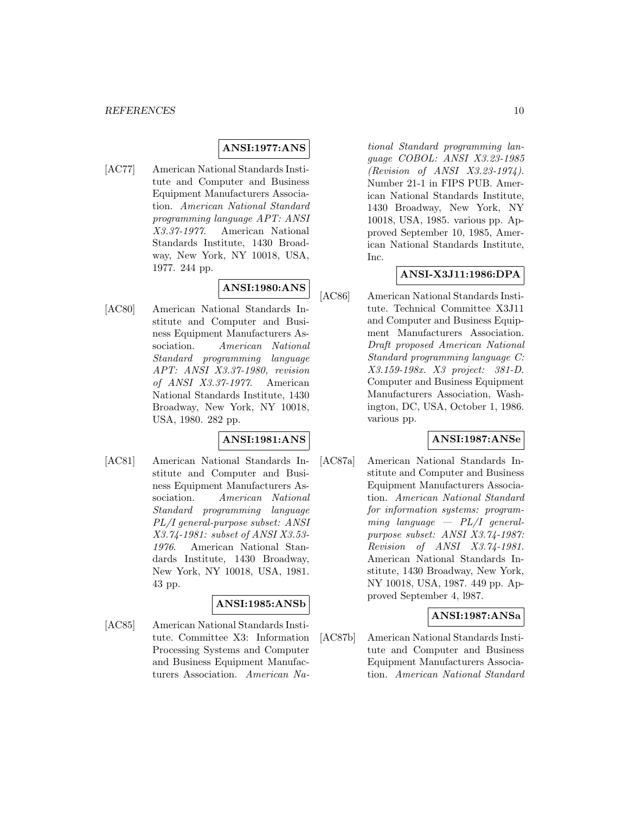### **ANSI:1977:ANS**

[AC77] American National Standards Institute and Computer and Business Equipment Manufacturers Association. American National Standard programming language APT: ANSI X3.37-1977. American National Standards Institute, 1430 Broadway, New York, NY 10018, USA, 1977. 244 pp.

# **ANSI:1980:ANS**

[AC80] American National Standards Institute and Computer and Business Equipment Manufacturers Association. American National Standard programming language APT: ANSI X3.37-1980, revision of ANSI X3.37-1977. American National Standards Institute, 1430 Broadway, New York, NY 10018, USA, 1980. 282 pp.

## **ANSI:1981:ANS**

[AC81] American National Standards Institute and Computer and Business Equipment Manufacturers Association. American National Standard programming language PL/I general-purpose subset: ANSI X3.74-1981: subset of ANSI X3.53- 1976. American National Standards Institute, 1430 Broadway, New York, NY 10018, USA, 1981. 43 pp.

### **ANSI:1985:ANSb**

[AC85] American National Standards Institute. Committee X3: Information Processing Systems and Computer and Business Equipment Manufacturers Association. American National Standard programming language COBOL: ANSI X3.23-1985 (Revision of ANSI X3.23-1974). Number 21-1 in FIPS PUB. American National Standards Institute, 1430 Broadway, New York, NY 10018, USA, 1985. various pp. Approved September 10, 1985, American National Standards Institute, Inc.

### **ANSI-X3J11:1986:DPA**

[AC86] American National Standards Institute. Technical Committee X3J11 and Computer and Business Equipment Manufacturers Association. Draft proposed American National Standard programming language C: X3.159-198x. X3 project: 381-D. Computer and Business Equipment Manufacturers Association, Washington, DC, USA, October 1, 1986. various pp.

# **ANSI:1987:ANSe**

[AC87a] American National Standards Institute and Computer and Business Equipment Manufacturers Association. American National Standard for information systems: programming language  $-PL/I$  generalpurpose subset: ANSI X3.74-1987: Revision of ANSI X3.74-1981. American National Standards Institute, 1430 Broadway, New York, NY 10018, USA, 1987. 449 pp. Approved September 4, l987.

### **ANSI:1987:ANSa**

[AC87b] American National Standards Institute and Computer and Business Equipment Manufacturers Association. American National Standard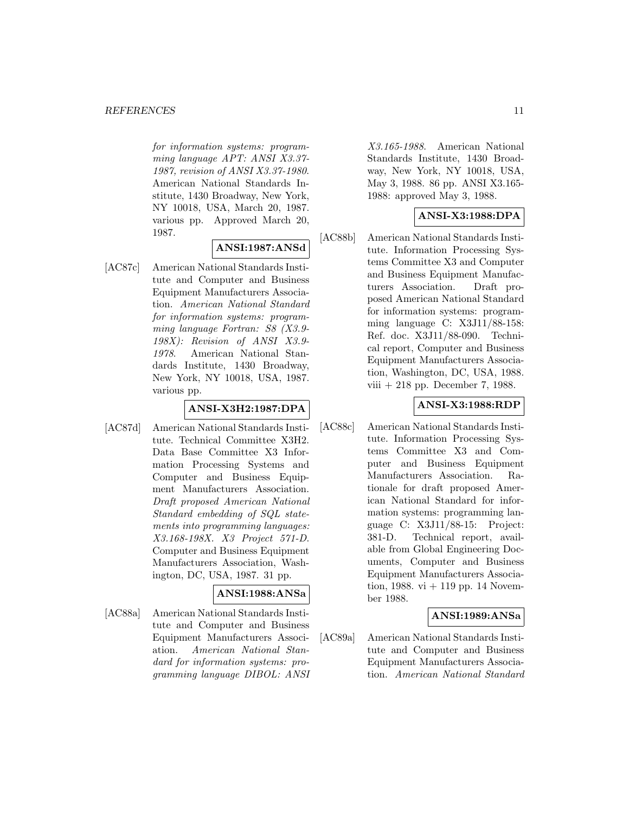#### *REFERENCES* 11

for information systems: programming language APT: ANSI X3.37- 1987, revision of ANSI X3.37-1980. American National Standards Institute, 1430 Broadway, New York, NY 10018, USA, March 20, 1987. various pp. Approved March 20, 1987.

# **ANSI:1987:ANSd**

[AC87c] American National Standards Institute and Computer and Business Equipment Manufacturers Association. American National Standard for information systems: programming language Fortran: S8 (X3.9- 198X): Revision of ANSI X3.9- 1978. American National Standards Institute, 1430 Broadway, New York, NY 10018, USA, 1987. various pp.

## **ANSI-X3H2:1987:DPA**

[AC87d] American National Standards Institute. Technical Committee X3H2. Data Base Committee X3 Information Processing Systems and Computer and Business Equipment Manufacturers Association. Draft proposed American National Standard embedding of SQL statements into programming languages: X3.168-198X. X3 Project 571-D. Computer and Business Equipment Manufacturers Association, Washington, DC, USA, 1987. 31 pp.

# **ANSI:1988:ANSa**

[AC88a] American National Standards Institute and Computer and Business Equipment Manufacturers Association. American National Standard for information systems: programming language DIBOL: ANSI X3.165-1988. American National Standards Institute, 1430 Broadway, New York, NY 10018, USA, May 3, 1988. 86 pp. ANSI X3.165- 1988: approved May 3, 1988.

### **ANSI-X3:1988:DPA**

[AC88b] American National Standards Institute. Information Processing Systems Committee X3 and Computer and Business Equipment Manufacturers Association. Draft proposed American National Standard for information systems: programming language C: X3J11/88-158: Ref. doc. X3J11/88-090. Technical report, Computer and Business Equipment Manufacturers Association, Washington, DC, USA, 1988. viii + 218 pp. December 7, 1988.

### **ANSI-X3:1988:RDP**

[AC88c] American National Standards Institute. Information Processing Systems Committee X3 and Computer and Business Equipment Manufacturers Association. Rationale for draft proposed American National Standard for information systems: programming language C: X3J11/88-15: Project: 381-D. Technical report, available from Global Engineering Documents, Computer and Business Equipment Manufacturers Association, 1988. vi  $+$  119 pp. 14 November 1988.

## **ANSI:1989:ANSa**

[AC89a] American National Standards Institute and Computer and Business Equipment Manufacturers Association. American National Standard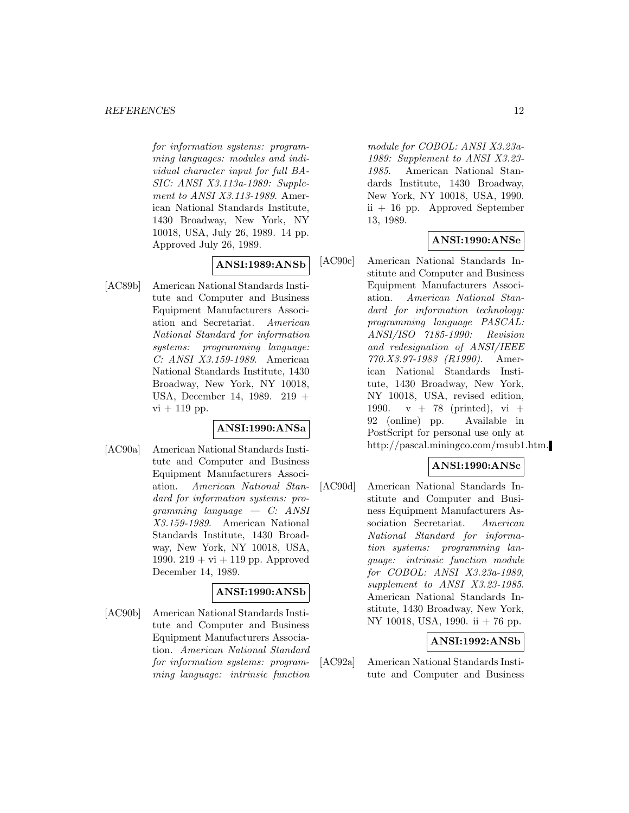#### *REFERENCES* 12

for information systems: programming languages: modules and individual character input for full BA-SIC: ANSI X3.113a-1989: Supplement to ANSI X3.113-1989. American National Standards Institute, 1430 Broadway, New York, NY 10018, USA, July 26, 1989. 14 pp. Approved July 26, 1989.

# **ANSI:1989:ANSb**

[AC89b] American National Standards Institute and Computer and Business Equipment Manufacturers Association and Secretariat. American National Standard for information systems: programming language: C: ANSI X3.159-1989. American National Standards Institute, 1430 Broadway, New York, NY 10018, USA, December 14, 1989. 219 +  $vi + 119$  pp.

### **ANSI:1990:ANSa**

[AC90a] American National Standards Institute and Computer and Business Equipment Manufacturers Association. American National Standard for information systems: pro $gamma\; language\; -\; C: \; ANSI$ X3.159-1989. American National Standards Institute, 1430 Broadway, New York, NY 10018, USA, 1990.  $219 + vi + 119$  pp. Approved December 14, 1989.

### **ANSI:1990:ANSb**

[AC90b] American National Standards Institute and Computer and Business Equipment Manufacturers Association. American National Standard for information systems: programming language: intrinsic function module for COBOL: ANSI X3.23a-1989: Supplement to ANSI X3.23- 1985. American National Standards Institute, 1430 Broadway, New York, NY 10018, USA, 1990. ii + 16 pp. Approved September 13, 1989.

### **ANSI:1990:ANSe**

[AC90c] American National Standards Institute and Computer and Business Equipment Manufacturers Association. American National Standard for information technology: programming language PASCAL: ANSI/ISO 7185-1990: Revision and redesignation of ANSI/IEEE 770.X3.97-1983 (R1990). American National Standards Institute, 1430 Broadway, New York, NY 10018, USA, revised edition, 1990.  $v + 78$  (printed), vi + 92 (online) pp. Available in PostScript for personal use only at http://pascal.miningco.com/msub1.htm.

### **ANSI:1990:ANSc**

[AC90d] American National Standards Institute and Computer and Business Equipment Manufacturers Association Secretariat. American National Standard for information systems: programming language: intrinsic function module for COBOL: ANSI X3.23a-1989, supplement to ANSI X3.23-1985. American National Standards Institute, 1430 Broadway, New York, NY 10018, USA, 1990. ii + 76 pp.

### **ANSI:1992:ANSb**

[AC92a] American National Standards Institute and Computer and Business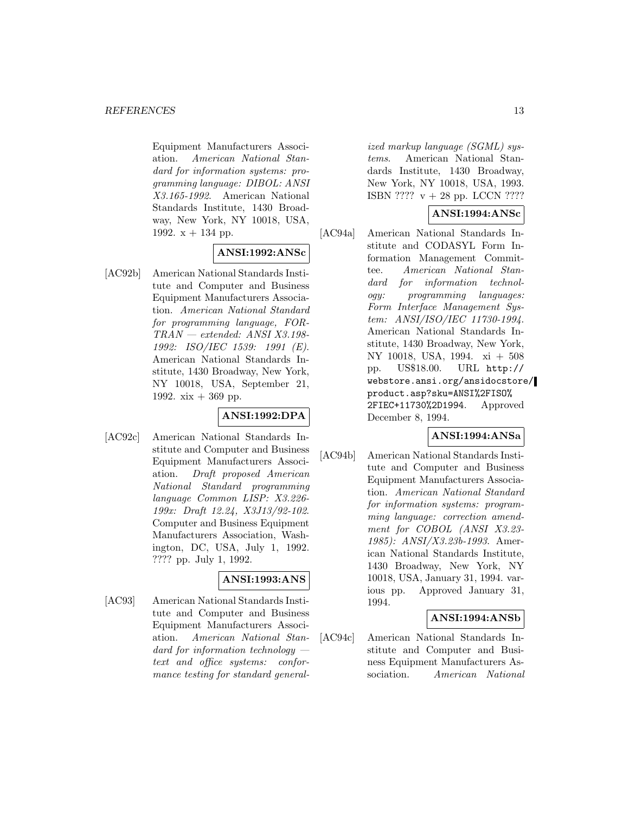Equipment Manufacturers Association. American National Standard for information systems: programming language: DIBOL: ANSI X3.165-1992. American National Standards Institute, 1430 Broadway, New York, NY 10018, USA, 1992.  $x + 134$  pp.

### **ANSI:1992:ANSc**

[AC92b] American National Standards Institute and Computer and Business Equipment Manufacturers Association. American National Standard for programming language, FOR-TRAN — extended: ANSI X3.198- 1992: ISO/IEC 1539: 1991 (E). American National Standards Institute, 1430 Broadway, New York, NY 10018, USA, September 21, 1992.  $xix + 369$  pp.

## **ANSI:1992:DPA**

[AC92c] American National Standards Institute and Computer and Business Equipment Manufacturers Association. Draft proposed American National Standard programming language Common LISP: X3.226- 199x: Draft 12.24, X3J13/92-102. Computer and Business Equipment Manufacturers Association, Washington, DC, USA, July 1, 1992. ???? pp. July 1, 1992.

## **ANSI:1993:ANS**

[AC93] American National Standards Institute and Computer and Business Equipment Manufacturers Association. American National Standard for information technology text and office systems: conformance testing for standard generalized markup language (SGML) systems. American National Standards Institute, 1430 Broadway, New York, NY 10018, USA, 1993. ISBN ????  $v + 28$  pp. LCCN ????

### **ANSI:1994:ANSc**

[AC94a] American National Standards Institute and CODASYL Form Information Management Committee. American National Standard for information technology: programming languages: Form Interface Management System: ANSI/ISO/IEC 11730-1994. American National Standards Institute, 1430 Broadway, New York, NY 10018, USA, 1994. xi + 508 pp. US\$18.00. URL http:// webstore.ansi.org/ansidocstore/ product.asp?sku=ANSI%2FISO% 2FIEC+11730%2D1994. Approved December 8, 1994.

### **ANSI:1994:ANSa**

[AC94b] American National Standards Institute and Computer and Business Equipment Manufacturers Association. American National Standard for information systems: programming language: correction amendment for COBOL (ANSI X3.23- 1985): ANSI/X3.23b-1993. American National Standards Institute, 1430 Broadway, New York, NY 10018, USA, January 31, 1994. various pp. Approved January 31, 1994.

### **ANSI:1994:ANSb**

[AC94c] American National Standards Institute and Computer and Business Equipment Manufacturers Association. American National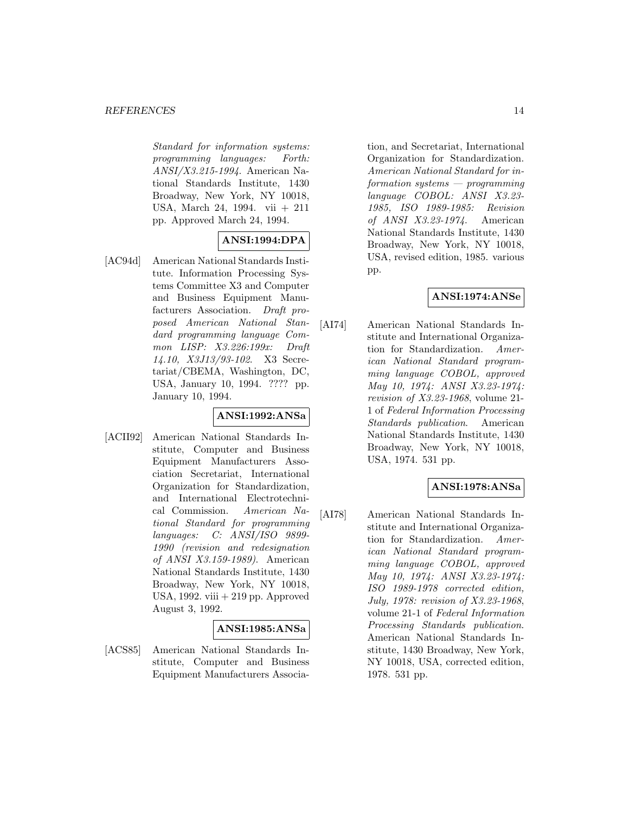Standard for information systems: programming languages: Forth: ANSI/X3.215-1994. American National Standards Institute, 1430 Broadway, New York, NY 10018, USA, March 24, 1994. vii + 211 pp. Approved March 24, 1994.

# **ANSI:1994:DPA**

[AC94d] American National Standards Institute. Information Processing Systems Committee X3 and Computer and Business Equipment Manufacturers Association. Draft proposed American National Standard programming language Common LISP: X3.226:199x: Draft 14.10, X3J13/93-102. X3 Secretariat/CBEMA, Washington, DC, USA, January 10, 1994. ???? pp. January 10, 1994.

## **ANSI:1992:ANSa**

[ACII92] American National Standards Institute, Computer and Business Equipment Manufacturers Association Secretariat, International Organization for Standardization, and International Electrotechnical Commission. American National Standard for programming languages: C: ANSI/ISO 9899- 1990 (revision and redesignation of ANSI X3.159-1989). American National Standards Institute, 1430 Broadway, New York, NY 10018, USA, 1992. viii  $+219$  pp. Approved August 3, 1992.

## **ANSI:1985:ANSa**

[ACS85] American National Standards Institute, Computer and Business Equipment Manufacturers Association, and Secretariat, International Organization for Standardization. American National Standard for information systems — programming language COBOL: ANSI X3.23- 1985, ISO 1989-1985: Revision of ANSI X3.23-1974. American National Standards Institute, 1430 Broadway, New York, NY 10018, USA, revised edition, 1985. various pp.

# **ANSI:1974:ANSe**

[AI74] American National Standards Institute and International Organization for Standardization. American National Standard programming language COBOL, approved May 10, 1974: ANSI X3.23-1974: revision of X3.23-1968, volume 21- 1 of Federal Information Processing Standards publication. American National Standards Institute, 1430 Broadway, New York, NY 10018, USA, 1974. 531 pp.

### **ANSI:1978:ANSa**

[AI78] American National Standards Institute and International Organization for Standardization. American National Standard programming language COBOL, approved May 10, 1974: ANSI X3.23-1974: ISO 1989-1978 corrected edition, July, 1978: revision of X3.23-1968, volume 21-1 of Federal Information Processing Standards publication. American National Standards Institute, 1430 Broadway, New York, NY 10018, USA, corrected edition, 1978. 531 pp.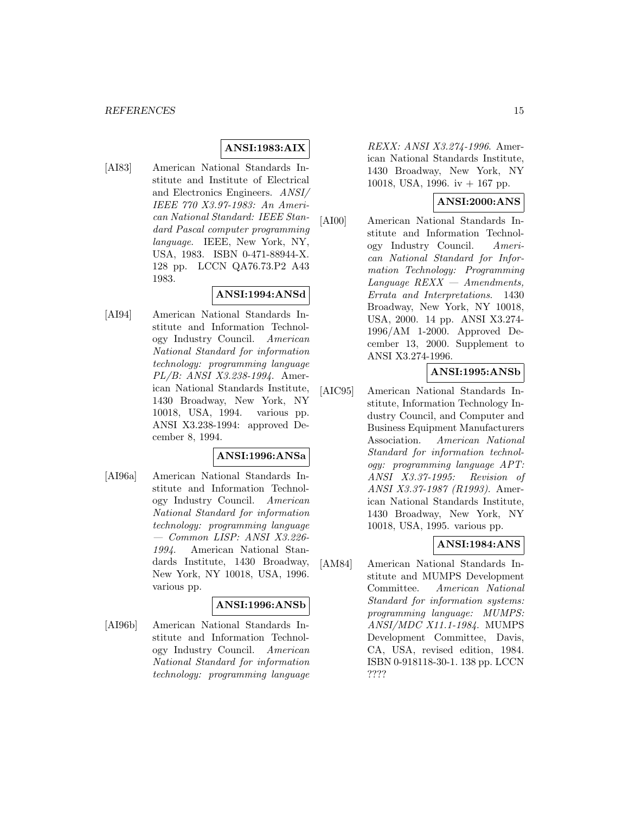### **ANSI:1983:AIX**

[AI83] American National Standards Institute and Institute of Electrical and Electronics Engineers. ANSI/ IEEE 770 X3.97-1983: An American National Standard: IEEE Standard Pascal computer programming language. IEEE, New York, NY, USA, 1983. ISBN 0-471-88944-X. 128 pp. LCCN QA76.73.P2 A43 1983.

### **ANSI:1994:ANSd**

[AI94] American National Standards Institute and Information Technology Industry Council. American National Standard for information technology: programming language PL/B: ANSI X3.238-1994. American National Standards Institute, 1430 Broadway, New York, NY 10018, USA, 1994. various pp. ANSI X3.238-1994: approved December 8, 1994.

### **ANSI:1996:ANSa**

[AI96a] American National Standards Institute and Information Technology Industry Council. American National Standard for information technology: programming language — Common LISP: ANSI X3.226- 1994. American National Standards Institute, 1430 Broadway, New York, NY 10018, USA, 1996. various pp.

### **ANSI:1996:ANSb**

[AI96b] American National Standards Institute and Information Technology Industry Council. American National Standard for information technology: programming language

REXX: ANSI X3.274-1996. American National Standards Institute, 1430 Broadway, New York, NY 10018, USA, 1996. iv + 167 pp.

### **ANSI:2000:ANS**

[AI00] American National Standards Institute and Information Technology Industry Council. American National Standard for Information Technology: Programming Language REXX — Amendments, Errata and Interpretations. 1430 Broadway, New York, NY 10018, USA, 2000. 14 pp. ANSI X3.274- 1996/AM 1-2000. Approved December 13, 2000. Supplement to ANSI X3.274-1996.

## **ANSI:1995:ANSb**

[AIC95] American National Standards Institute, Information Technology Industry Council, and Computer and Business Equipment Manufacturers Association. American National Standard for information technology: programming language APT: ANSI X3.37-1995: Revision of ANSI X3.37-1987 (R1993). American National Standards Institute, 1430 Broadway, New York, NY 10018, USA, 1995. various pp.

## **ANSI:1984:ANS**

[AM84] American National Standards Institute and MUMPS Development Committee. American National Standard for information systems: programming language: MUMPS: ANSI/MDC X11.1-1984. MUMPS Development Committee, Davis, CA, USA, revised edition, 1984. ISBN 0-918118-30-1. 138 pp. LCCN ????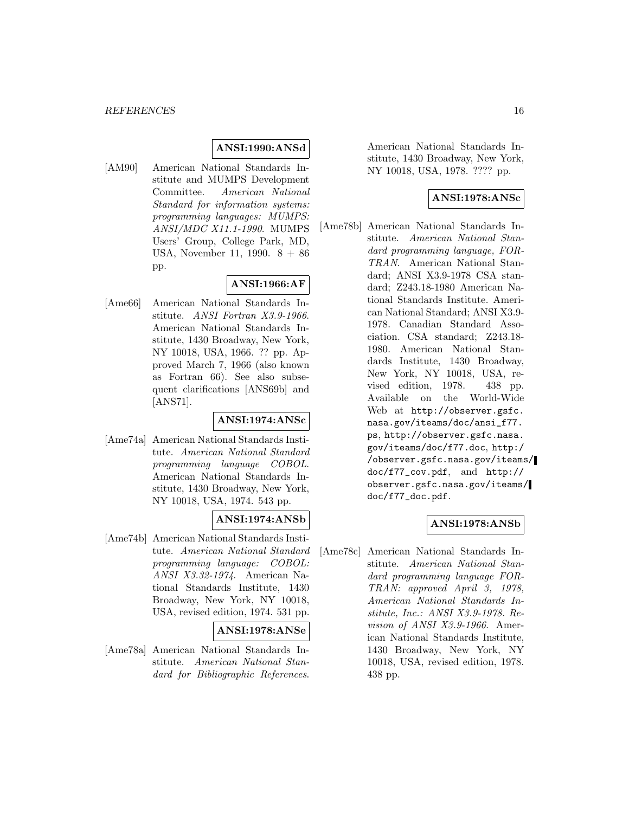### **ANSI:1990:ANSd**

[AM90] American National Standards Institute and MUMPS Development Committee. American National Standard for information systems: programming languages: MUMPS: ANSI/MDC X11.1-1990. MUMPS Users' Group, College Park, MD, USA, November 11, 1990. 8 + 86 pp.

## **ANSI:1966:AF**

[Ame66] American National Standards Institute. ANSI Fortran X3.9-1966. American National Standards Institute, 1430 Broadway, New York, NY 10018, USA, 1966. ?? pp. Approved March 7, 1966 (also known as Fortran 66). See also subsequent clarifications [ANS69b] and [ANS71].

## **ANSI:1974:ANSc**

[Ame74a] American National Standards Institute. American National Standard programming language COBOL. American National Standards Institute, 1430 Broadway, New York, NY 10018, USA, 1974. 543 pp.

# **ANSI:1974:ANSb**

[Ame74b] American National Standards Institute. American National Standard programming language: COBOL: ANSI X3.32-1974. American National Standards Institute, 1430 Broadway, New York, NY 10018, USA, revised edition, 1974. 531 pp.

### **ANSI:1978:ANSe**

[Ame78a] American National Standards Institute. American National Standard for Bibliographic References.

American National Standards Institute, 1430 Broadway, New York, NY 10018, USA, 1978. ???? pp.

### **ANSI:1978:ANSc**

[Ame78b] American National Standards Institute. American National Standard programming language, FOR-TRAN. American National Standard; ANSI X3.9-1978 CSA standard; Z243.18-1980 American National Standards Institute. American National Standard; ANSI X3.9- 1978. Canadian Standard Association. CSA standard; Z243.18- 1980. American National Standards Institute, 1430 Broadway, New York, NY 10018, USA, revised edition, 1978. 438 pp. Available on the World-Wide Web at http://observer.gsfc. nasa.gov/iteams/doc/ansi\_f77. ps, http://observer.gsfc.nasa. gov/iteams/doc/f77.doc, http:/ /observer.gsfc.nasa.gov/iteams/ doc/f77\_cov.pdf, and http:// observer.gsfc.nasa.gov/iteams/ doc/f77\_doc.pdf.

## **ANSI:1978:ANSb**

[Ame78c] American National Standards Institute. American National Standard programming language FOR-TRAN: approved April 3, 1978, American National Standards Institute, Inc.: ANSI X3.9-1978. Revision of ANSI X3.9-1966. American National Standards Institute, 1430 Broadway, New York, NY 10018, USA, revised edition, 1978. 438 pp.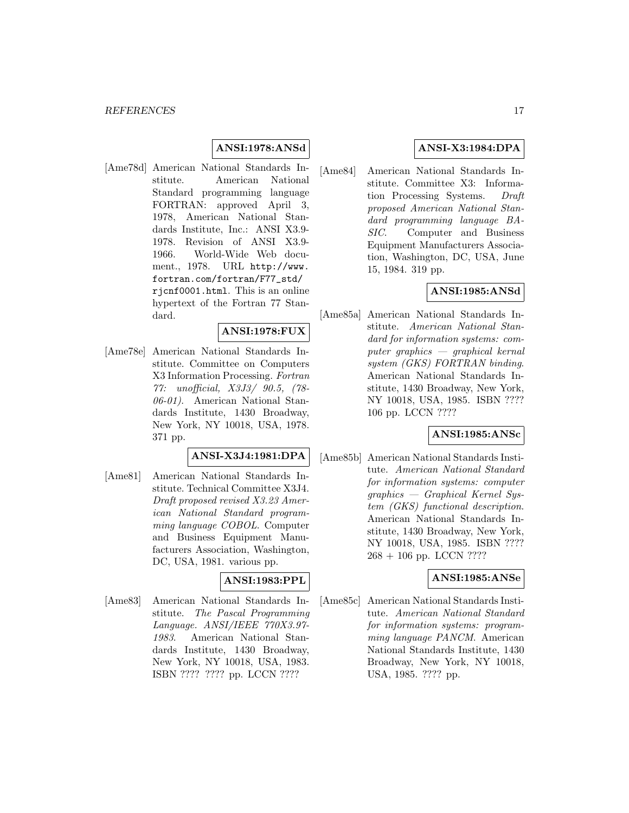# **ANSI:1978:ANSd**

[Ame78d] American National Standards Institute. American National Standard programming language FORTRAN: approved April 3, 1978, American National Standards Institute, Inc.: ANSI X3.9- 1978. Revision of ANSI X3.9- 1966. World-Wide Web document., 1978. URL http://www. fortran.com/fortran/F77\_std/ rjcnf0001.html. This is an online hypertext of the Fortran 77 Standard.

### **ANSI:1978:FUX**

[Ame78e] American National Standards Institute. Committee on Computers X3 Information Processing. Fortran 77: unofficial, X3J3/ 90.5, (78- 06-01). American National Standards Institute, 1430 Broadway, New York, NY 10018, USA, 1978. 371 pp.

# **ANSI-X3J4:1981:DPA**

[Ame81] American National Standards Institute. Technical Committee X3J4. Draft proposed revised X3.23 American National Standard programming language COBOL. Computer and Business Equipment Manufacturers Association, Washington, DC, USA, 1981. various pp.

#### **ANSI:1983:PPL**

[Ame83] American National Standards Institute. The Pascal Programming Language. ANSI/IEEE 770X3.97- 1983. American National Standards Institute, 1430 Broadway, New York, NY 10018, USA, 1983. ISBN ???? ???? pp. LCCN ????

### **ANSI-X3:1984:DPA**

[Ame84] American National Standards Institute. Committee X3: Information Processing Systems. Draft proposed American National Standard programming language BA-SIC. Computer and Business Equipment Manufacturers Association, Washington, DC, USA, June 15, 1984. 319 pp.

### **ANSI:1985:ANSd**

[Ame85a] American National Standards Institute. American National Standard for information systems: computer graphics — graphical kernal system (GKS) FORTRAN binding. American National Standards Institute, 1430 Broadway, New York, NY 10018, USA, 1985. ISBN ???? 106 pp. LCCN ????

# **ANSI:1985:ANSc**

[Ame85b] American National Standards Institute. American National Standard for information systems: computer graphics — Graphical Kernel System (GKS) functional description. American National Standards Institute, 1430 Broadway, New York, NY 10018, USA, 1985. ISBN ???? 268 + 106 pp. LCCN ????

#### **ANSI:1985:ANSe**

[Ame85c] American National Standards Institute. American National Standard for information systems: programming language PANCM. American National Standards Institute, 1430 Broadway, New York, NY 10018, USA, 1985. ???? pp.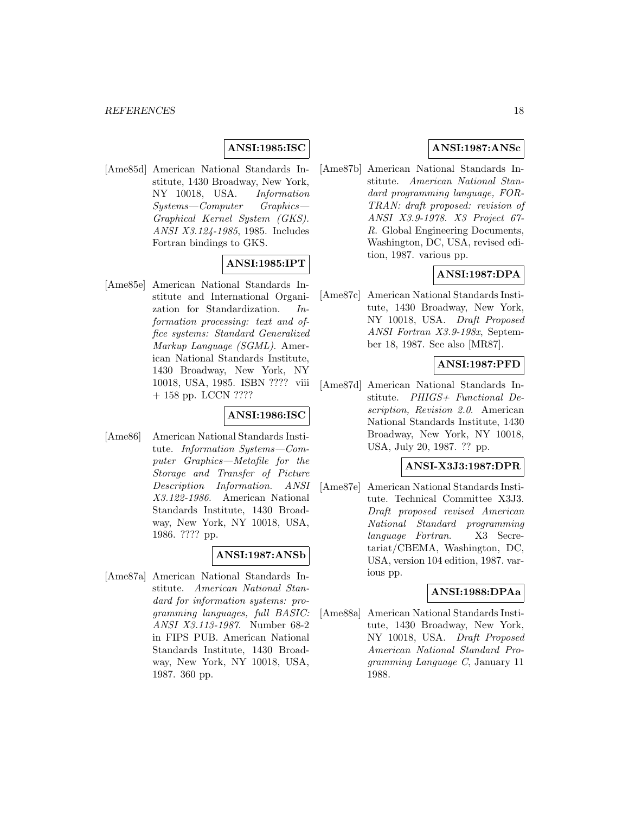### **ANSI:1985:ISC**

[Ame85d] American National Standards Institute, 1430 Broadway, New York, NY 10018, USA. Information Systems—Computer Graphics— Graphical Kernel System (GKS). ANSI X3.124-1985, 1985. Includes Fortran bindings to GKS.

### **ANSI:1985:IPT**

[Ame85e] American National Standards Institute and International Organization for Standardization. Information processing: text and office systems: Standard Generalized Markup Language (SGML). American National Standards Institute, 1430 Broadway, New York, NY 10018, USA, 1985. ISBN ???? viii + 158 pp. LCCN ????

### **ANSI:1986:ISC**

[Ame86] American National Standards Institute. Information Systems—Computer Graphics—Metafile for the Storage and Transfer of Picture Description Information. ANSI X3.122-1986. American National Standards Institute, 1430 Broadway, New York, NY 10018, USA, 1986. ???? pp.

## **ANSI:1987:ANSb**

[Ame87a] American National Standards Institute. American National Standard for information systems: programming languages, full BASIC: ANSI X3.113-1987. Number 68-2 in FIPS PUB. American National Standards Institute, 1430 Broadway, New York, NY 10018, USA, 1987. 360 pp.

### **ANSI:1987:ANSc**

[Ame87b] American National Standards Institute. American National Standard programming language, FOR-TRAN: draft proposed: revision of ANSI X3.9-1978. X3 Project 67- R. Global Engineering Documents, Washington, DC, USA, revised edition, 1987. various pp.

### **ANSI:1987:DPA**

[Ame87c] American National Standards Institute, 1430 Broadway, New York, NY 10018, USA. Draft Proposed ANSI Fortran X3.9-198x, September 18, 1987. See also [MR87].

#### **ANSI:1987:PFD**

[Ame87d] American National Standards Institute. PHIGS+ Functional Description, Revision 2.0. American National Standards Institute, 1430 Broadway, New York, NY 10018, USA, July 20, 1987. ?? pp.

#### **ANSI-X3J3:1987:DPR**

[Ame87e] American National Standards Institute. Technical Committee X3J3. Draft proposed revised American National Standard programming language Fortran. X3 Secretariat/CBEMA, Washington, DC, USA, version 104 edition, 1987. various pp.

### **ANSI:1988:DPAa**

[Ame88a] American National Standards Institute, 1430 Broadway, New York, NY 10018, USA. Draft Proposed American National Standard Programming Language C, January 11 1988.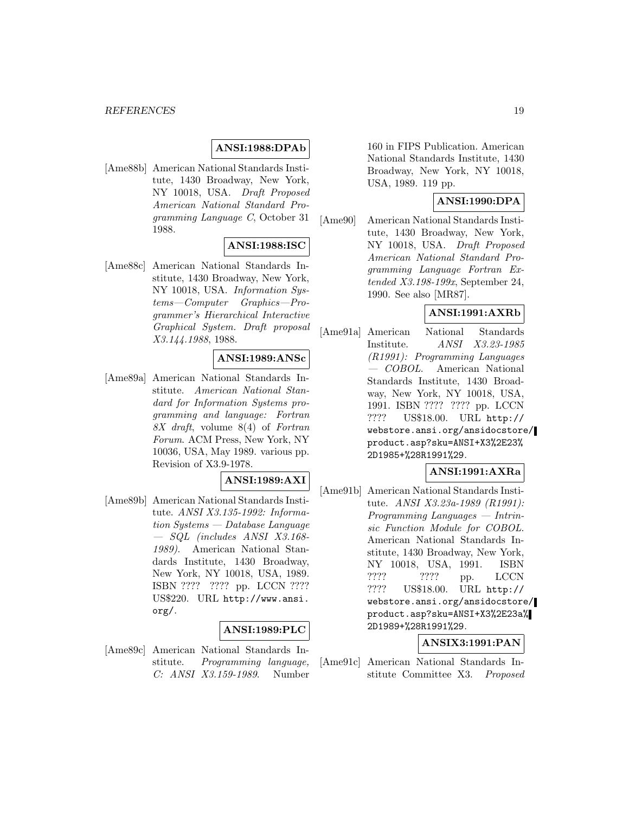### **ANSI:1988:DPAb**

[Ame88b] American National Standards Institute, 1430 Broadway, New York, NY 10018, USA. Draft Proposed American National Standard Programming Language C, October 31 1988.

### **ANSI:1988:ISC**

[Ame88c] American National Standards Institute, 1430 Broadway, New York, NY 10018, USA. Information Systems—Computer Graphics—Programmer's Hierarchical Interactive Graphical System. Draft proposal X3.144.1988, 1988.

### **ANSI:1989:ANSc**

[Ame89a] American National Standards Institute. American National Standard for Information Systems programming and language: Fortran 8X draft, volume 8(4) of Fortran Forum. ACM Press, New York, NY 10036, USA, May 1989. various pp. Revision of X3.9-1978.

#### **ANSI:1989:AXI**

[Ame89b] American National Standards Institute. ANSI X3.135-1992: Information Systems — Database Language — SQL (includes ANSI X3.168- 1989). American National Standards Institute, 1430 Broadway, New York, NY 10018, USA, 1989. ISBN ???? ???? pp. LCCN ???? US\$220. URL http://www.ansi. org/.

### **ANSI:1989:PLC**

[Ame89c] American National Standards Institute. Programming language, C: ANSI X3.159-1989. Number 160 in FIPS Publication. American National Standards Institute, 1430 Broadway, New York, NY 10018, USA, 1989. 119 pp.

### **ANSI:1990:DPA**

[Ame90] American National Standards Institute, 1430 Broadway, New York, NY 10018, USA. Draft Proposed American National Standard Programming Language Fortran Extended X3.198-199x, September 24, 1990. See also [MR87].

### **ANSI:1991:AXRb**

[Ame91a] American National Standards Institute. ANSI X3.23-1985 (R1991): Programming Languages — COBOL. American National Standards Institute, 1430 Broadway, New York, NY 10018, USA, 1991. ISBN ???? ???? pp. LCCN ???? US\$18.00. URL http:// webstore.ansi.org/ansidocstore/ product.asp?sku=ANSI+X3%2E23% 2D1985+%28R1991%29.

#### **ANSI:1991:AXRa**

[Ame91b] American National Standards Institute. ANSI X3.23a-1989 (R1991): Programming Languages — Intrinsic Function Module for COBOL. American National Standards Institute, 1430 Broadway, New York, NY 10018, USA, 1991. ISBN ????? ???? pp. LCCN ???? US\$18.00. URL http:// webstore.ansi.org/ansidocstore/ product.asp?sku=ANSI+X3%2E23a% 2D1989+%28R1991%29.

### **ANSIX3:1991:PAN**

[Ame91c] American National Standards Institute Committee X3. Proposed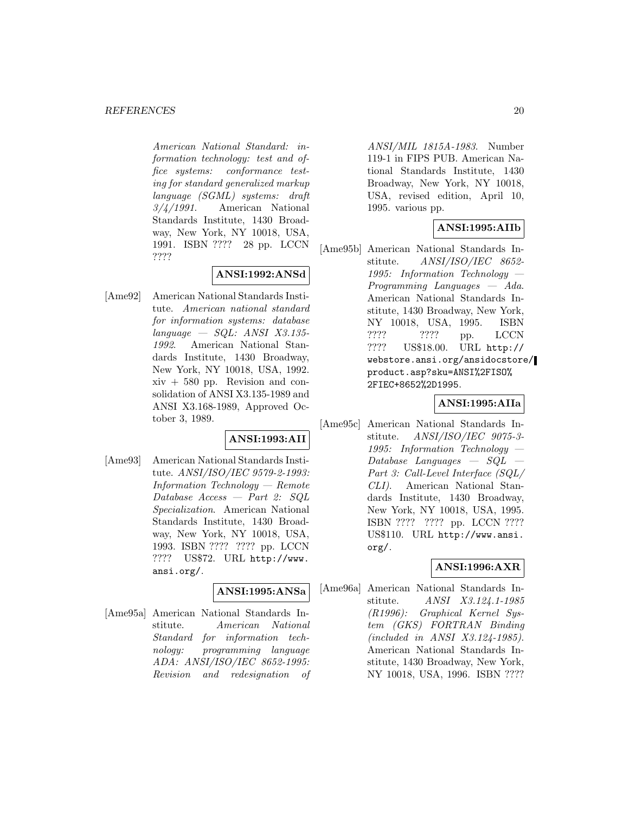American National Standard: information technology: test and office systems: conformance testing for standard generalized markup language (SGML) systems: draft  $3/\frac{1}{991}$ . American National Standards Institute, 1430 Broadway, New York, NY 10018, USA, 1991. ISBN ???? 28 pp. LCCN ????

# **ANSI:1992:ANSd**

[Ame92] American National Standards Institute. American national standard for information systems: database  $language - SQL: ANSI X3.135-$ 1992. American National Standards Institute, 1430 Broadway, New York, NY 10018, USA, 1992.  $xiv + 580$  pp. Revision and consolidation of ANSI X3.135-1989 and ANSI X3.168-1989, Approved October 3, 1989.

# **ANSI:1993:AII**

[Ame93] American National Standards Institute. ANSI/ISO/IEC 9579-2-1993: Information Technology — Remote Database Access — Part 2: SQL Specialization. American National Standards Institute, 1430 Broadway, New York, NY 10018, USA, 1993. ISBN ???? ???? pp. LCCN ???? US\$72. URL http://www. ansi.org/.

### **ANSI:1995:ANSa**

[Ame95a] American National Standards Institute. American National Standard for information technology: programming language ADA: ANSI/ISO/IEC 8652-1995: Revision and redesignation of ANSI/MIL 1815A-1983. Number 119-1 in FIPS PUB. American National Standards Institute, 1430 Broadway, New York, NY 10018, USA, revised edition, April 10, 1995. various pp.

### **ANSI:1995:AIIb**

[Ame95b] American National Standards Institute. ANSI/ISO/IEC 8652- 1995: Information Technology — Programming Languages — Ada. American National Standards Institute, 1430 Broadway, New York, NY 10018, USA, 1995. ISBN ???? ???? pp. LCCN ???? US\$18.00. URL http:// webstore.ansi.org/ansidocstore/ product.asp?sku=ANSI%2FISO% 2FIEC+8652%2D1995.

#### **ANSI:1995:AIIa**

[Ame95c] American National Standards Institute. ANSI/ISO/IEC 9075-3- 1995: Information Technology —  $Database$  Languages  $-$  SQL  $-$ Part 3: Call-Level Interface (SQL/ CLI). American National Standards Institute, 1430 Broadway, New York, NY 10018, USA, 1995. ISBN ???? ???? pp. LCCN ???? US\$110. URL http://www.ansi. org/.

### **ANSI:1996:AXR**

[Ame96a] American National Standards Institute. *ANSI X3.124.1-1985* (R1996): Graphical Kernel System (GKS) FORTRAN Binding (included in ANSI X3.124-1985). American National Standards Institute, 1430 Broadway, New York, NY 10018, USA, 1996. ISBN ????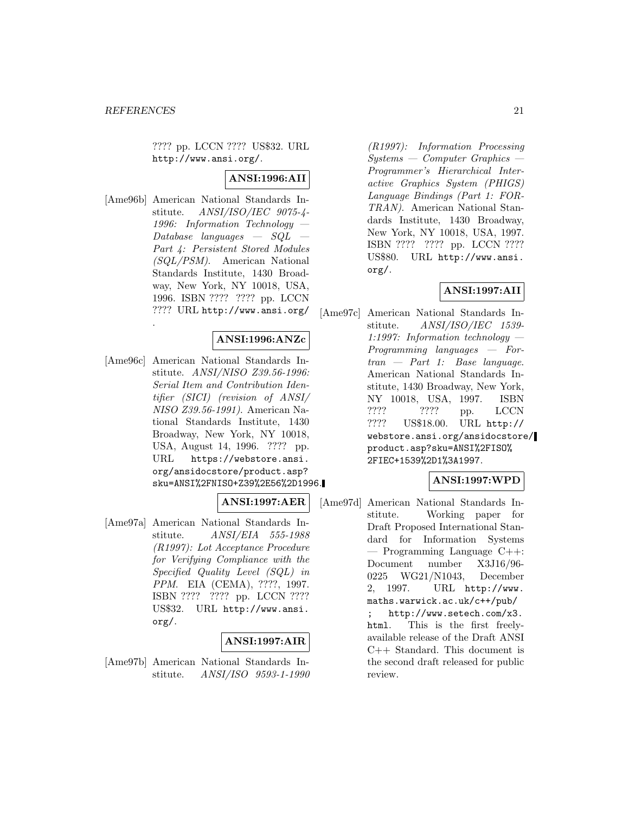.

???? pp. LCCN ???? US\$32. URL http://www.ansi.org/.

# **ANSI:1996:AII**

[Ame96b] American National Standards Institute. ANSI/ISO/IEC 9075-4- 1996: Information Technology —  $Database$  languages  $-$  SQL Part 4: Persistent Stored Modules (SQL/PSM). American National Standards Institute, 1430 Broadway, New York, NY 10018, USA, 1996. ISBN ???? ???? pp. LCCN ???? URL http://www.ansi.org/

## **ANSI:1996:ANZc**

[Ame96c] American National Standards Institute. ANSI/NISO Z39.56-1996: Serial Item and Contribution Identifier (SICI) (revision of ANSI/ NISO Z39.56-1991). American National Standards Institute, 1430 Broadway, New York, NY 10018, USA, August 14, 1996. ???? pp. URL https://webstore.ansi. org/ansidocstore/product.asp? sku=ANSI%2FNISO+Z39%2E56%2D1996.

#### **ANSI:1997:AER**

[Ame97a] American National Standards Institute. ANSI/EIA 555-1988 (R1997): Lot Acceptance Procedure for Verifying Compliance with the Specified Quality Level (SQL) in PPM. EIA (CEMA), ????, 1997. ISBN ???? ???? pp. LCCN ???? US\$32. URL http://www.ansi. org/.

### **ANSI:1997:AIR**

[Ame97b] American National Standards Institute. ANSI/ISO 9593-1-1990

(R1997): Information Processing  $Systems - Computer Graphics -$ Programmer's Hierarchical Interactive Graphics System (PHIGS) Language Bindings (Part 1: FOR-TRAN). American National Standards Institute, 1430 Broadway, New York, NY 10018, USA, 1997. ISBN ???? ???? pp. LCCN ???? US\$80. URL http://www.ansi. org/.

# **ANSI:1997:AII**

[Ame97c] American National Standards Institute. ANSI/ISO/IEC 1539- 1:1997: Information technology — Programming languages — Fortran — Part 1: Base language. American National Standards Institute, 1430 Broadway, New York, NY 10018, USA, 1997. ISBN ???? ???? pp. LCCN ???? US\$18.00. URL http:// webstore.ansi.org/ansidocstore/ product.asp?sku=ANSI%2FISO% 2FIEC+1539%2D1%3A1997.

### **ANSI:1997:WPD**

[Ame97d] American National Standards Institute. Working paper for Draft Proposed International Standard for Information Systems — Programming Language C++: Document number X3J16/96- 0225 WG21/N1043, December 2, 1997. URL http://www. maths.warwick.ac.uk/c++/pub/ ; http://www.setech.com/x3. html. This is the first freelyavailable release of the Draft ANSI C++ Standard. This document is the second draft released for public review.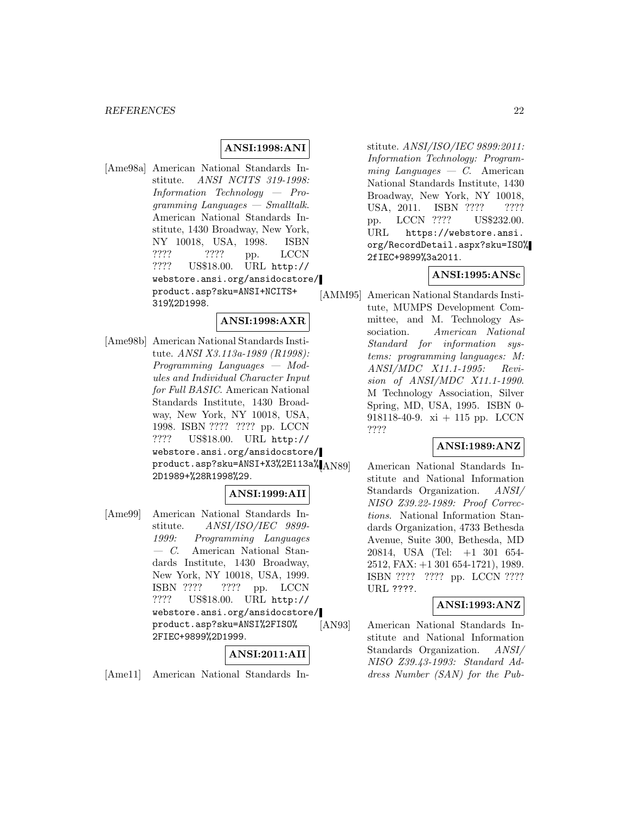### **ANSI:1998:ANI**

[Ame98a] American National Standards Institute. ANSI NCITS 319-1998: Information Technology — Programming Languages — Smalltalk. American National Standards Institute, 1430 Broadway, New York, NY 10018, USA, 1998. ISBN ???? ???? pp. LCCN ???? US\$18.00. URL http:// webstore.ansi.org/ansidocstore/ product.asp?sku=ANSI+NCITS+ 319%2D1998.

### **ANSI:1998:AXR**

[Ame98b] American National Standards Institute. ANSI X3.113a-1989 (R1998): Programming Languages — Modules and Individual Character Input for Full BASIC. American National Standards Institute, 1430 Broadway, New York, NY 10018, USA, 1998. ISBN ???? ???? pp. LCCN ???? US\$18.00. URL http:// webstore.ansi.org/ansidocstore/ product.asp?sku=ANSI+X3%2E113a% 2D1989+%28R1998%29.

# **ANSI:1999:AII**

[Ame99] American National Standards Institute. ANSI/ISO/IEC 9899- 1999: Programming Languages — C. American National Standards Institute, 1430 Broadway, New York, NY 10018, USA, 1999. ISBN ???? ???? pp. LCCN ???? US\$18.00. URL http:// webstore.ansi.org/ansidocstore/ product.asp?sku=ANSI%2FISO% 2FIEC+9899%2D1999.

### **ANSI:2011:AII**

[Ame11] American National Standards In-

stitute. ANSI/ISO/IEC 9899:2011: Information Technology: Program $minq$  Languages  $-$  C. American National Standards Institute, 1430 Broadway, New York, NY 10018, USA, 2011. ISBN ???? ???? pp. LCCN ???? US\$232.00. URL https://webstore.ansi. org/RecordDetail.aspx?sku=ISO% 2fIEC+9899%3a2011.

### **ANSI:1995:ANSc**

[AMM95] American National Standards Institute, MUMPS Development Committee, and M. Technology Association. American National Standard for information systems: programming languages: M: ANSI/MDC X11.1-1995: Revision of ANSI/MDC X11.1-1990. M Technology Association, Silver Spring, MD, USA, 1995. ISBN 0- 918118-40-9. xi + 115 pp. LCCN ????

### **ANSI:1989:ANZ**

American National Standards Institute and National Information Standards Organization. ANSI/ NISO Z39.22-1989: Proof Corrections. National Information Standards Organization, 4733 Bethesda Avenue, Suite 300, Bethesda, MD 20814, USA (Tel: +1 301 654- 2512, FAX: +1 301 654-1721), 1989. ISBN ???? ???? pp. LCCN ???? URL ????.

#### **ANSI:1993:ANZ**

[AN93] American National Standards Institute and National Information Standards Organization. ANSI/ NISO Z39.43-1993: Standard Address Number (SAN) for the Pub-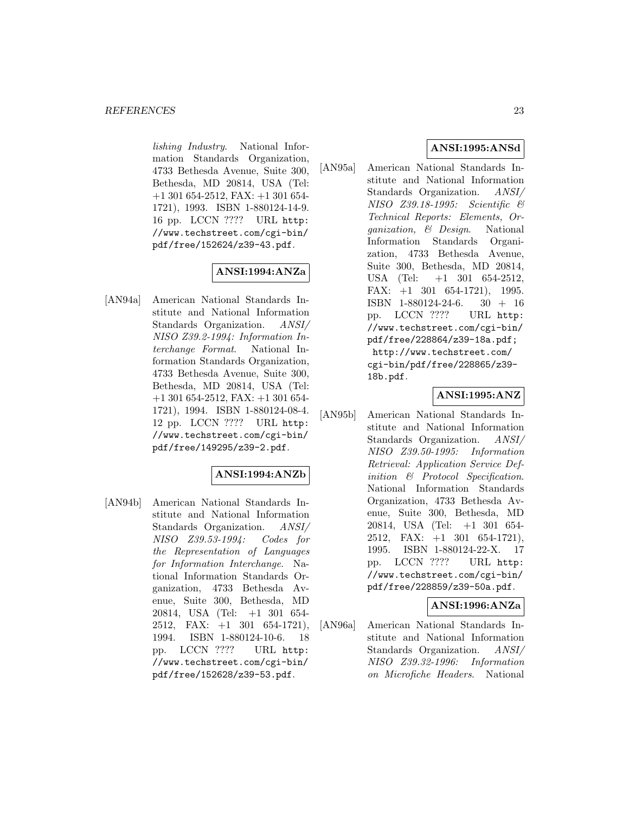lishing Industry. National Information Standards Organization, 4733 Bethesda Avenue, Suite 300, Bethesda, MD 20814, USA (Tel: +1 301 654-2512, FAX: +1 301 654- 1721), 1993. ISBN 1-880124-14-9. 16 pp. LCCN ???? URL http: //www.techstreet.com/cgi-bin/ pdf/free/152624/z39-43.pdf.

# **ANSI:1994:ANZa**

[AN94a] American National Standards Institute and National Information Standards Organization. ANSI/ NISO Z39.2-1994: Information Interchange Format. National Information Standards Organization, 4733 Bethesda Avenue, Suite 300, Bethesda, MD 20814, USA (Tel: +1 301 654-2512, FAX: +1 301 654- 1721), 1994. ISBN 1-880124-08-4. 12 pp. LCCN ???? URL http: //www.techstreet.com/cgi-bin/ pdf/free/149295/z39-2.pdf.

## **ANSI:1994:ANZb**

[AN94b] American National Standards Institute and National Information Standards Organization. ANSI/ NISO Z39.53-1994: Codes for the Representation of Languages for Information Interchange. National Information Standards Organization, 4733 Bethesda Avenue, Suite 300, Bethesda, MD 20814, USA (Tel: +1 301 654- 2512, FAX: +1 301 654-1721), 1994. ISBN 1-880124-10-6. 18 pp. LCCN ???? URL http: //www.techstreet.com/cgi-bin/ pdf/free/152628/z39-53.pdf.

# **ANSI:1995:ANSd**

[AN95a] American National Standards Institute and National Information Standards Organization. ANSI/ NISO Z39.18-1995: Scientific & Technical Reports: Elements, Organization, & Design. National Information Standards Organization, 4733 Bethesda Avenue, Suite 300, Bethesda, MD 20814, USA (Tel:  $+1$  301 654-2512, FAX: +1 301 654-1721), 1995. ISBN 1-880124-24-6. 30 + 16 pp. LCCN ???? URL http: //www.techstreet.com/cgi-bin/ pdf/free/228864/z39-18a.pdf; http://www.techstreet.com/ cgi-bin/pdf/free/228865/z39- 18b.pdf.

### **ANSI:1995:ANZ**

[AN95b] American National Standards Institute and National Information Standards Organization. ANSI/ NISO Z39.50-1995: Information Retrieval: Application Service Definition & Protocol Specification. National Information Standards Organization, 4733 Bethesda Avenue, Suite 300, Bethesda, MD 20814, USA (Tel: +1 301 654- 2512, FAX:  $+1$  301 654-1721), 1995. ISBN 1-880124-22-X. 17 pp. LCCN ???? URL http: //www.techstreet.com/cgi-bin/ pdf/free/228859/z39-50a.pdf.

### **ANSI:1996:ANZa**

[AN96a] American National Standards Institute and National Information Standards Organization. ANSI/ NISO Z39.32-1996: Information on Microfiche Headers. National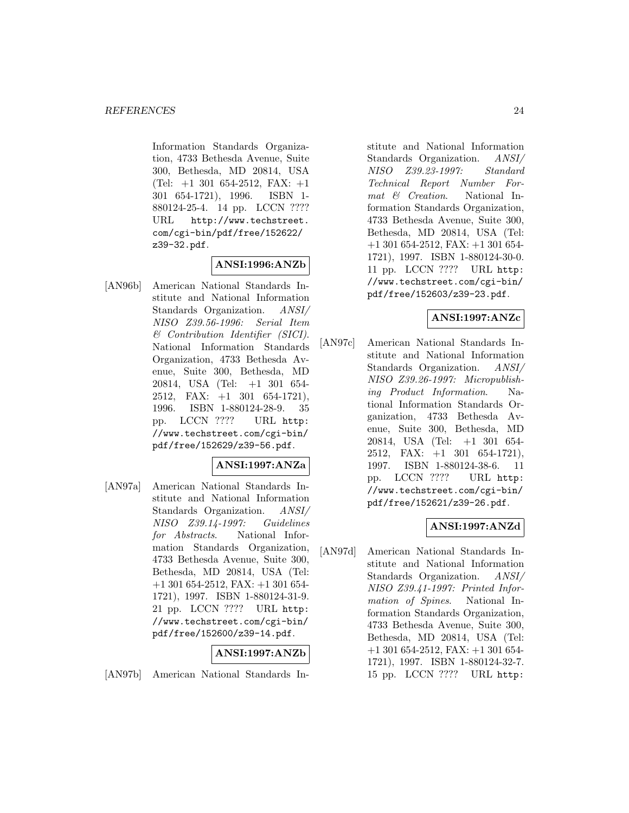Information Standards Organization, 4733 Bethesda Avenue, Suite 300, Bethesda, MD 20814, USA (Tel:  $+1$  301 654-2512, FAX:  $+1$ 301 654-1721), 1996. ISBN 1- 880124-25-4. 14 pp. LCCN ???? URL http://www.techstreet. com/cgi-bin/pdf/free/152622/ z39-32.pdf.

# **ANSI:1996:ANZb**

[AN96b] American National Standards Institute and National Information Standards Organization. ANSI/ NISO Z39.56-1996: Serial Item & Contribution Identifier (SICI). National Information Standards Organization, 4733 Bethesda Avenue, Suite 300, Bethesda, MD 20814, USA (Tel: +1 301 654- 2512, FAX: +1 301 654-1721), 1996. ISBN 1-880124-28-9. 35 pp. LCCN ???? URL http: //www.techstreet.com/cgi-bin/ pdf/free/152629/z39-56.pdf.

### **ANSI:1997:ANZa**

[AN97a] American National Standards Institute and National Information Standards Organization. ANSI/ NISO Z39.14-1997: Guidelines for *Abstracts*. National Information Standards Organization, 4733 Bethesda Avenue, Suite 300, Bethesda, MD 20814, USA (Tel: +1 301 654-2512, FAX: +1 301 654- 1721), 1997. ISBN 1-880124-31-9. 21 pp. LCCN ???? URL http: //www.techstreet.com/cgi-bin/ pdf/free/152600/z39-14.pdf.

# **ANSI:1997:ANZb**

[AN97b] American National Standards In-

stitute and National Information Standards Organization. ANSI/ NISO Z39.23-1997: Standard Technical Report Number Format  $\mathcal{C}$  Creation. National Information Standards Organization, 4733 Bethesda Avenue, Suite 300, Bethesda, MD 20814, USA (Tel: +1 301 654-2512, FAX: +1 301 654- 1721), 1997. ISBN 1-880124-30-0. 11 pp. LCCN ???? URL http: //www.techstreet.com/cgi-bin/ pdf/free/152603/z39-23.pdf.

# **ANSI:1997:ANZc**

[AN97c] American National Standards Institute and National Information Standards Organization. ANSI/ NISO Z39.26-1997: Micropublishing Product Information. National Information Standards Organization, 4733 Bethesda Avenue, Suite 300, Bethesda, MD 20814, USA (Tel: +1 301 654- 2512, FAX: +1 301 654-1721), 1997. ISBN 1-880124-38-6. 11 pp. LCCN ???? URL http: //www.techstreet.com/cgi-bin/ pdf/free/152621/z39-26.pdf.

## **ANSI:1997:ANZd**

[AN97d] American National Standards Institute and National Information Standards Organization. ANSI/ NISO Z39.41-1997: Printed Information of Spines. National Information Standards Organization, 4733 Bethesda Avenue, Suite 300, Bethesda, MD 20814, USA (Tel: +1 301 654-2512, FAX: +1 301 654- 1721), 1997. ISBN 1-880124-32-7. 15 pp. LCCN ???? URL http: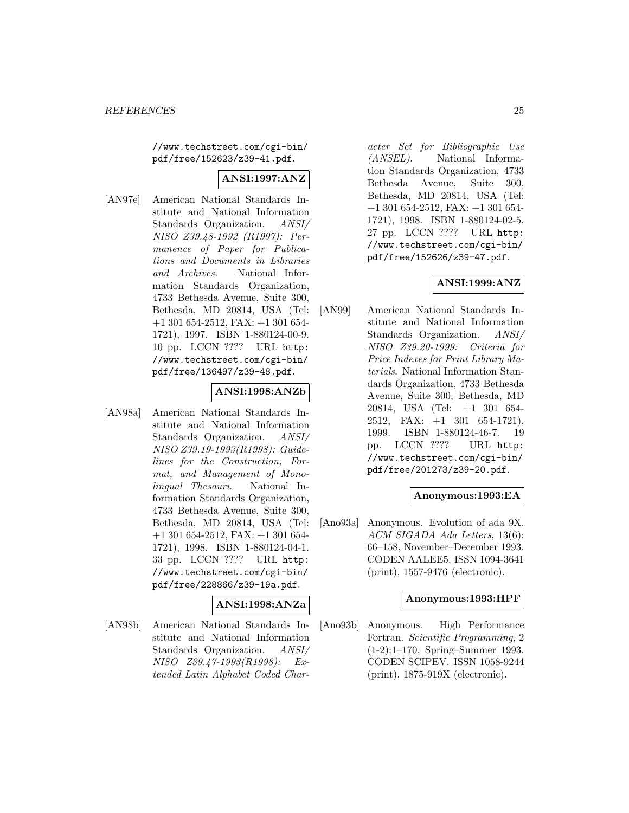//www.techstreet.com/cgi-bin/ pdf/free/152623/z39-41.pdf.

## **ANSI:1997:ANZ**

[AN97e] American National Standards Institute and National Information Standards Organization. ANSI/ NISO Z39.48-1992 (R1997): Permanence of Paper for Publications and Documents in Libraries and Archives. National Information Standards Organization, 4733 Bethesda Avenue, Suite 300, Bethesda, MD 20814, USA (Tel: +1 301 654-2512, FAX: +1 301 654- 1721), 1997. ISBN 1-880124-00-9. 10 pp. LCCN ???? URL http: //www.techstreet.com/cgi-bin/ pdf/free/136497/z39-48.pdf.

### **ANSI:1998:ANZb**

[AN98a] American National Standards Institute and National Information Standards Organization. ANSI/ NISO Z39.19-1993(R1998): Guidelines for the Construction, Format, and Management of Monolingual Thesauri. National Information Standards Organization, 4733 Bethesda Avenue, Suite 300, Bethesda, MD 20814, USA (Tel: +1 301 654-2512, FAX: +1 301 654- 1721), 1998. ISBN 1-880124-04-1. 33 pp. LCCN ???? URL http: //www.techstreet.com/cgi-bin/ pdf/free/228866/z39-19a.pdf.

## **ANSI:1998:ANZa**

[AN98b] American National Standards Institute and National Information Standards Organization. ANSI/ NISO Z39.47-1993(R1998): Extended Latin Alphabet Coded Character Set for Bibliographic Use (ANSEL). National Information Standards Organization, 4733 Bethesda Avenue, Suite 300, Bethesda, MD 20814, USA (Tel: +1 301 654-2512, FAX: +1 301 654- 1721), 1998. ISBN 1-880124-02-5. 27 pp. LCCN ???? URL http: //www.techstreet.com/cgi-bin/ pdf/free/152626/z39-47.pdf.

### **ANSI:1999:ANZ**

[AN99] American National Standards Institute and National Information Standards Organization. ANSI/ NISO Z39.20-1999: Criteria for Price Indexes for Print Library Materials. National Information Standards Organization, 4733 Bethesda Avenue, Suite 300, Bethesda, MD 20814, USA (Tel: +1 301 654- 2512, FAX: +1 301 654-1721), 1999. ISBN 1-880124-46-7. 19 pp. LCCN ???? URL http: //www.techstreet.com/cgi-bin/ pdf/free/201273/z39-20.pdf.

### **Anonymous:1993:EA**

[Ano93a] Anonymous. Evolution of ada 9X. ACM SIGADA Ada Letters, 13(6): 66–158, November–December 1993. CODEN AALEE5. ISSN 1094-3641 (print), 1557-9476 (electronic).

#### **Anonymous:1993:HPF**

[Ano93b] Anonymous. High Performance Fortran. Scientific Programming, 2 (1-2):1–170, Spring–Summer 1993. CODEN SCIPEV. ISSN 1058-9244 (print), 1875-919X (electronic).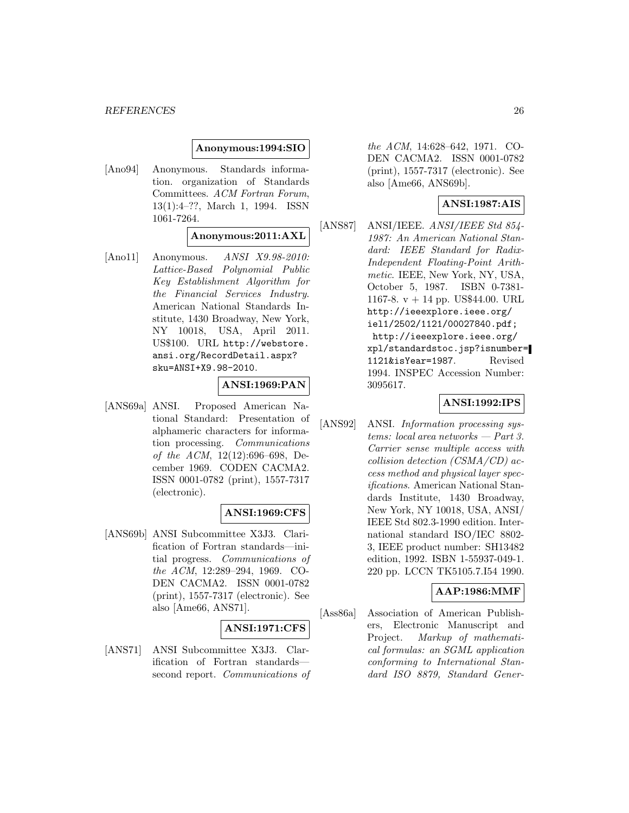#### **Anonymous:1994:SIO**

[Ano94] Anonymous. Standards information. organization of Standards Committees. ACM Fortran Forum, 13(1):4–??, March 1, 1994. ISSN 1061-7264.

#### **Anonymous:2011:AXL**

[Ano11] Anonymous. *ANSI X9.98-2010:* Lattice-Based Polynomial Public Key Establishment Algorithm for the Financial Services Industry. American National Standards Institute, 1430 Broadway, New York, NY 10018, USA, April 2011. US\$100. URL http://webstore. ansi.org/RecordDetail.aspx? sku=ANSI+X9.98-2010.

### **ANSI:1969:PAN**

[ANS69a] ANSI. Proposed American National Standard: Presentation of alphameric characters for information processing. Communications of the ACM, 12(12):696–698, December 1969. CODEN CACMA2. ISSN 0001-0782 (print), 1557-7317 (electronic).

#### **ANSI:1969:CFS**

[ANS69b] ANSI Subcommittee X3J3. Clarification of Fortran standards—initial progress. Communications of the ACM, 12:289–294, 1969. CO-DEN CACMA2. ISSN 0001-0782 (print), 1557-7317 (electronic). See also [Ame66, ANS71].

#### **ANSI:1971:CFS**

[ANS71] ANSI Subcommittee X3J3. Clarification of Fortran standards second report. Communications of the ACM, 14:628–642, 1971. CO-DEN CACMA2. ISSN 0001-0782 (print), 1557-7317 (electronic). See also [Ame66, ANS69b].

# **ANSI:1987:AIS**

[ANS87] ANSI/IEEE. ANSI/IEEE Std 854- 1987: An American National Standard: IEEE Standard for Radix-Independent Floating-Point Arithmetic. IEEE, New York, NY, USA, October 5, 1987. ISBN 0-7381- 1167-8. v + 14 pp. US\$44.00. URL http://ieeexplore.ieee.org/ iel1/2502/1121/00027840.pdf; http://ieeexplore.ieee.org/ xpl/standardstoc.jsp?isnumber= 1121&isYear=1987. Revised 1994. INSPEC Accession Number: 3095617.

#### **ANSI:1992:IPS**

[ANS92] ANSI. Information processing systems: local area networks — Part 3. Carrier sense multiple access with collision detection (CSMA/CD) access method and physical layer specifications. American National Standards Institute, 1430 Broadway, New York, NY 10018, USA, ANSI/ IEEE Std 802.3-1990 edition. International standard ISO/IEC 8802- 3, IEEE product number: SH13482 edition, 1992. ISBN 1-55937-049-1. 220 pp. LCCN TK5105.7.I54 1990.

### **AAP:1986:MMF**

[Ass86a] Association of American Publishers, Electronic Manuscript and Project. Markup of mathematical formulas: an SGML application conforming to International Standard ISO 8879, Standard Gener-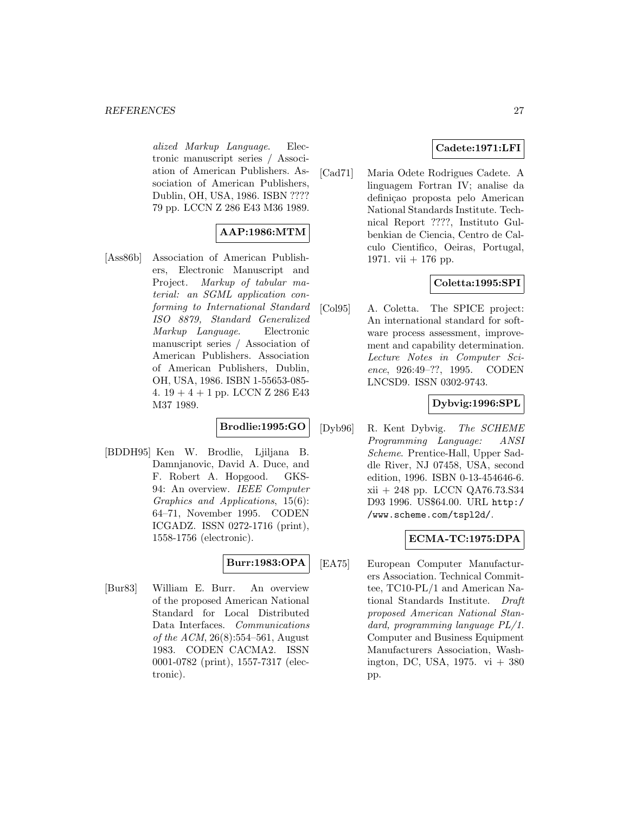alized Markup Language. Electronic manuscript series / Association of American Publishers. Association of American Publishers, Dublin, OH, USA, 1986. ISBN ???? 79 pp. LCCN Z 286 E43 M36 1989.

# **AAP:1986:MTM**

[Ass86b] Association of American Publishers, Electronic Manuscript and Project. Markup of tabular material: an SGML application conforming to International Standard ISO 8879, Standard Generalized Markup Language. Electronic manuscript series / Association of American Publishers. Association of American Publishers, Dublin, OH, USA, 1986. ISBN 1-55653-085- 4.  $19 + 4 + 1$  pp. LCCN Z 286 E43 M37 1989.

# **Brodlie:1995:GO**

[BDDH95] Ken W. Brodlie, Ljiljana B. Damnjanovic, David A. Duce, and F. Robert A. Hopgood. GKS-94: An overview. IEEE Computer Graphics and Applications, 15(6): 64–71, November 1995. CODEN ICGADZ. ISSN 0272-1716 (print), 1558-1756 (electronic).

# **Burr:1983:OPA**

[Bur83] William E. Burr. An overview of the proposed American National Standard for Local Distributed Data Interfaces. Communications of the ACM, 26(8):554–561, August 1983. CODEN CACMA2. ISSN 0001-0782 (print), 1557-7317 (electronic).

## **Cadete:1971:LFI**

[Cad71] Maria Odete Rodrigues Cadete. A linguagem Fortran IV; analise da definicao proposta pelo American National Standards Institute. Technical Report ????, Instituto Gulbenkian de Ciencia, Centro de Calculo Cientifico, Oeiras, Portugal, 1971. vii + 176 pp.

### **Coletta:1995:SPI**

[Col95] A. Coletta. The SPICE project: An international standard for software process assessment, improvement and capability determination. Lecture Notes in Computer Science, 926:49–??, 1995. CODEN LNCSD9. ISSN 0302-9743.

### **Dybvig:1996:SPL**

[Dyb96] R. Kent Dybvig. The SCHEME Programming Language: ANSI Scheme. Prentice-Hall, Upper Saddle River, NJ 07458, USA, second edition, 1996. ISBN 0-13-454646-6. xii + 248 pp. LCCN QA76.73.S34 D93 1996. US\$64.00. URL http:/ /www.scheme.com/tspl2d/.

## **ECMA-TC:1975:DPA**

[EA75] European Computer Manufacturers Association. Technical Committee, TC10-PL/1 and American National Standards Institute. Draft proposed American National Standard, programming language PL/1. Computer and Business Equipment Manufacturers Association, Washington, DC, USA,  $1975. vi + 380$ pp.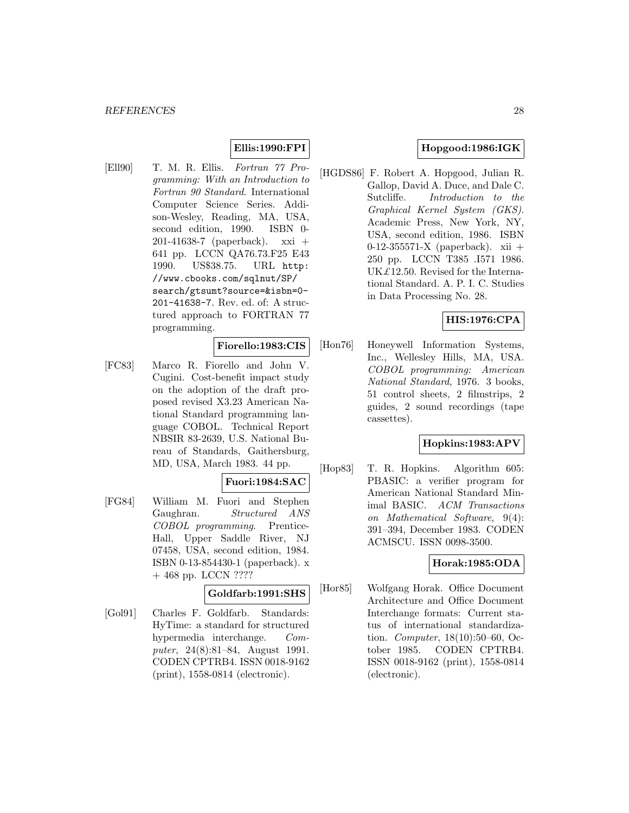# **Ellis:1990:FPI**

[Ell90] T. M. R. Ellis. Fortran 77 Programming: With an Introduction to Fortran 90 Standard. International Computer Science Series. Addison-Wesley, Reading, MA, USA, second edition, 1990. ISBN 0- 201-41638-7 (paperback). xxi + 641 pp. LCCN QA76.73.F25 E43 1990. US\$38.75. URL http: //www.cbooks.com/sqlnut/SP/ search/gtsumt?source=&isbn=0- 201-41638-7. Rev. ed. of: A structured approach to FORTRAN 77 programming.

#### **Fiorello:1983:CIS**

[FC83] Marco R. Fiorello and John V. Cugini. Cost-benefit impact study on the adoption of the draft proposed revised X3.23 American National Standard programming language COBOL. Technical Report NBSIR 83-2639, U.S. National Bureau of Standards, Gaithersburg, MD, USA, March 1983. 44 pp.

#### **Fuori:1984:SAC**

[FG84] William M. Fuori and Stephen Gaughran. Structured ANS COBOL programming. Prentice-Hall, Upper Saddle River, NJ 07458, USA, second edition, 1984. ISBN 0-13-854430-1 (paperback). x + 468 pp. LCCN ????

### **Goldfarb:1991:SHS**

[Gol91] Charles F. Goldfarb. Standards: HyTime: a standard for structured hypermedia interchange. Computer, 24(8):81–84, August 1991. CODEN CPTRB4. ISSN 0018-9162 (print), 1558-0814 (electronic).

### **Hopgood:1986:IGK**

[HGDS86] F. Robert A. Hopgood, Julian R. Gallop, David A. Duce, and Dale C. Sutcliffe. Introduction to the Graphical Kernel System (GKS). Academic Press, New York, NY, USA, second edition, 1986. ISBN 0-12-355571-X (paperback). xii + 250 pp. LCCN T385 .I571 1986. UK $£12.50.$  Revised for the International Standard. A. P. I. C. Studies in Data Processing No. 28.

### **HIS:1976:CPA**

[Hon76] Honeywell Information Systems, Inc., Wellesley Hills, MA, USA. COBOL programming: American National Standard, 1976. 3 books, 51 control sheets, 2 filmstrips, 2 guides, 2 sound recordings (tape cassettes).

### **Hopkins:1983:APV**

[Hop83] T. R. Hopkins. Algorithm 605: PBASIC: a verifier program for American National Standard Minimal BASIC. ACM Transactions on Mathematical Software, 9(4): 391–394, December 1983. CODEN ACMSCU. ISSN 0098-3500.

### **Horak:1985:ODA**

[Hor85] Wolfgang Horak. Office Document Architecture and Office Document Interchange formats: Current status of international standardization. Computer, 18(10):50–60, October 1985. CODEN CPTRB4. ISSN 0018-9162 (print), 1558-0814 (electronic).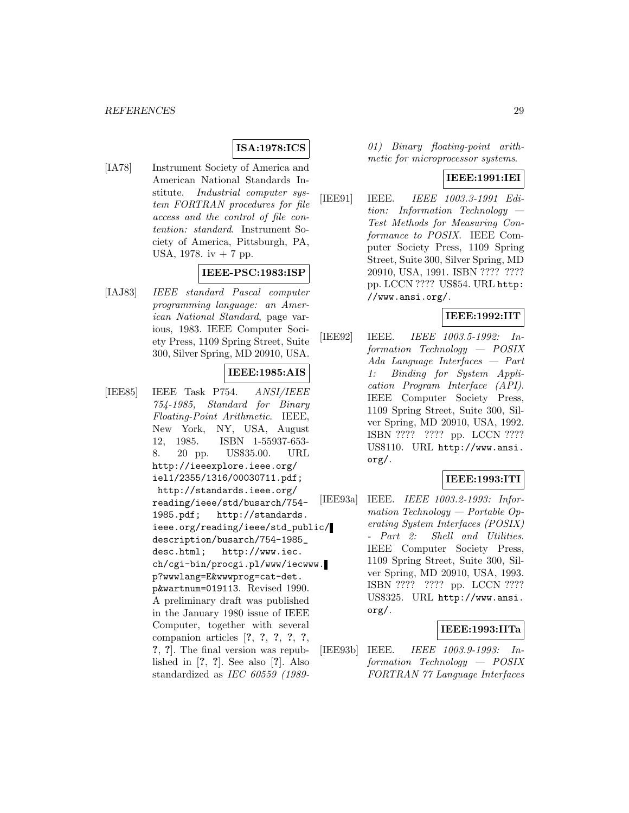### **ISA:1978:ICS**

[IA78] Instrument Society of America and American National Standards Institute. Industrial computer system FORTRAN procedures for file access and the control of file contention: standard. Instrument Society of America, Pittsburgh, PA, USA, 1978. iv + 7 pp.

### **IEEE-PSC:1983:ISP**

[IAJ83] IEEE standard Pascal computer programming language: an American National Standard, page various, 1983. IEEE Computer Society Press, 1109 Spring Street, Suite 300, Silver Spring, MD 20910, USA.

# **IEEE:1985:AIS**

[IEE85] IEEE Task P754. ANSI/IEEE 754-1985, Standard for Binary Floating-Point Arithmetic. IEEE, New York, NY, USA, August 12, 1985. ISBN 1-55937-653- 8. 20 pp. US\$35.00. URL http://ieeexplore.ieee.org/ iel1/2355/1316/00030711.pdf; http://standards.ieee.org/ reading/ieee/std/busarch/754- 1985.pdf; http://standards. ieee.org/reading/ieee/std\_public/ description/busarch/754-1985\_ desc.html; http://www.iec. ch/cgi-bin/procgi.pl/www/iecwww. p?wwwlang=E&wwwprog=cat-det. p&wartnum=019113. Revised 1990. A preliminary draft was published in the January 1980 issue of IEEE Computer, together with several companion articles [**?**, **?**, **?**, **?**, **?**, **?**, **?**]. The final version was republished in [**?**, **?**]. See also [**?**]. Also standardized as IEC 60559 (198901) Binary floating-point arithmetic for microprocessor systems.

#### **IEEE:1991:IEI**

[IEE91] IEEE. IEEE 1003.3-1991 Edition: Information Technology — Test Methods for Measuring Conformance to POSIX. IEEE Computer Society Press, 1109 Spring Street, Suite 300, Silver Spring, MD 20910, USA, 1991. ISBN ???? ???? pp. LCCN ???? US\$54. URL http: //www.ansi.org/.

### **IEEE:1992:IIT**

[IEE92] IEEE. IEEE 1003.5-1992: Information Technology — POSIX Ada Language Interfaces — Part 1: Binding for System Application Program Interface (API). IEEE Computer Society Press, 1109 Spring Street, Suite 300, Silver Spring, MD 20910, USA, 1992. ISBN ???? ???? pp. LCCN ???? US\$110. URL http://www.ansi. org/.

### **IEEE:1993:ITI**

[IEE93a] IEEE. IEEE 1003.2-1993: Information Technology — Portable Operating System Interfaces (POSIX) - Part 2: Shell and Utilities. IEEE Computer Society Press, 1109 Spring Street, Suite 300, Silver Spring, MD 20910, USA, 1993. ISBN ???? ???? pp. LCCN ???? US\$325. URL http://www.ansi. org/.

### **IEEE:1993:IITa**

[IEE93b] IEEE. IEEE 1003.9-1993: Information Technology — POSIX FORTRAN 77 Language Interfaces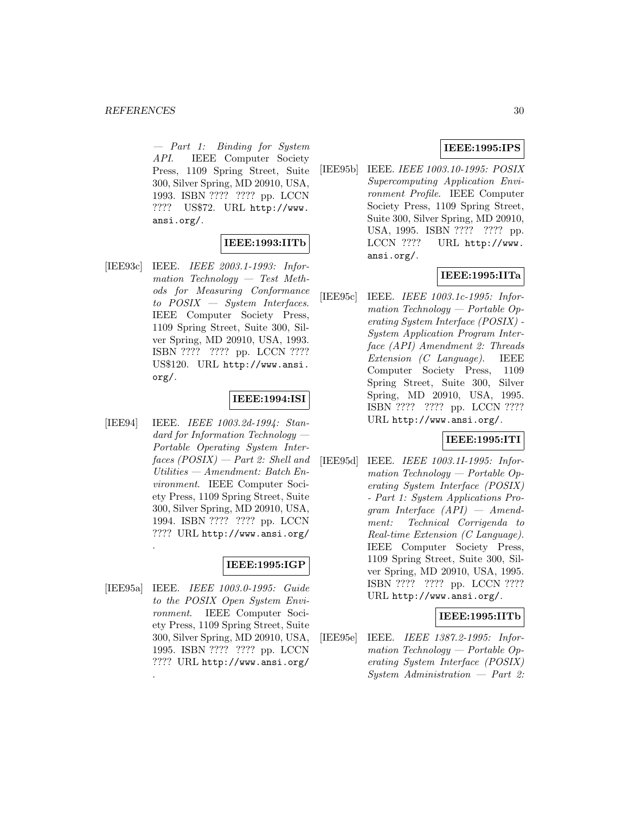— Part 1: Binding for System API. IEEE Computer Society Press, 1109 Spring Street, Suite 300, Silver Spring, MD 20910, USA, 1993. ISBN ???? ???? pp. LCCN ???? US\$72. URL http://www. ansi.org/.

### **IEEE:1993:IITb**

[IEE93c] IEEE. IEEE 2003.1-1993: Information Technology — Test Methods for Measuring Conformance to POSIX — System Interfaces. IEEE Computer Society Press, 1109 Spring Street, Suite 300, Silver Spring, MD 20910, USA, 1993. ISBN ???? ???? pp. LCCN ???? US\$120. URL http://www.ansi. org/.

### **IEEE:1994:ISI**

[IEE94] IEEE. IEEE 1003.2d-1994: Standard for Information Technology — Portable Operating System Inter $faces (POSIX) - Part 2: Shell and$ Utilities — Amendment: Batch Environment. IEEE Computer Society Press, 1109 Spring Street, Suite 300, Silver Spring, MD 20910, USA, 1994. ISBN ???? ???? pp. LCCN ???? URL http://www.ansi.org/ .

## **IEEE:1995:IGP**

[IEE95a] IEEE. IEEE 1003.0-1995: Guide to the POSIX Open System Environment. IEEE Computer Society Press, 1109 Spring Street, Suite 300, Silver Spring, MD 20910, USA, 1995. ISBN ???? ???? pp. LCCN ???? URL http://www.ansi.org/

.

### **IEEE:1995:IPS**

[IEE95b] IEEE. IEEE 1003.10-1995: POSIX Supercomputing Application Environment Profile. IEEE Computer Society Press, 1109 Spring Street, Suite 300, Silver Spring, MD 20910, USA, 1995. ISBN ???? ???? pp. LCCN ???? URL http://www. ansi.org/.

## **IEEE:1995:IITa**

[IEE95c] IEEE. IEEE 1003.1c-1995: Information Technology — Portable Operating System Interface (POSIX) - System Application Program Interface (API) Amendment 2: Threads Extension (C Language). IEEE Computer Society Press, 1109 Spring Street, Suite 300, Silver Spring, MD 20910, USA, 1995. ISBN ???? ???? pp. LCCN ???? URL http://www.ansi.org/.

### **IEEE:1995:ITI**

[IEE95d] IEEE. IEEE 1003.1I-1995: Information Technology — Portable Operating System Interface (POSIX) - Part 1: System Applications Program Interface (API) — Amendment: Technical Corrigenda to Real-time Extension (C Language). IEEE Computer Society Press, 1109 Spring Street, Suite 300, Silver Spring, MD 20910, USA, 1995. ISBN ???? ???? pp. LCCN ???? URL http://www.ansi.org/.

### **IEEE:1995:IITb**

[IEE95e] IEEE. IEEE 1387.2-1995: Information Technology — Portable Operating System Interface (POSIX) System Administration — Part 2: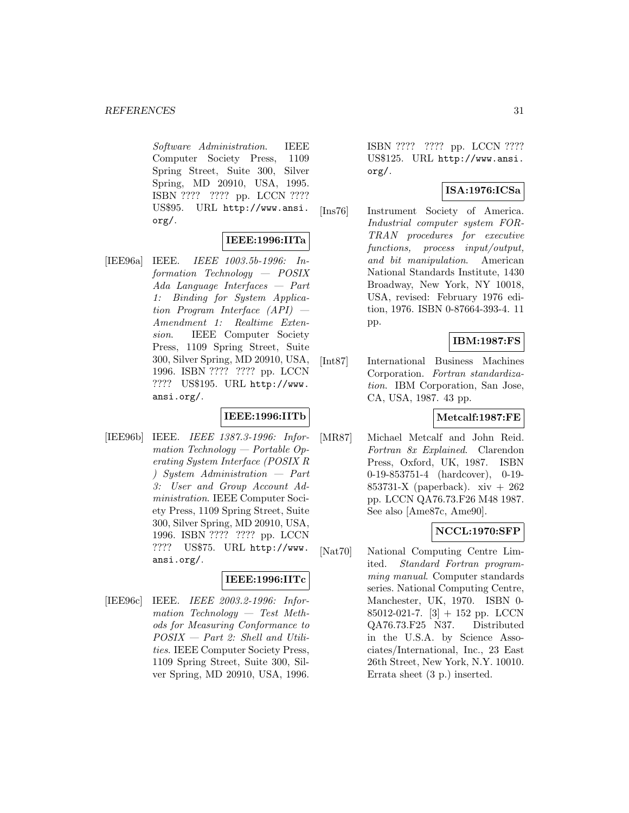Software Administration. IEEE Computer Society Press, 1109 Spring Street, Suite 300, Silver Spring, MD 20910, USA, 1995. ISBN ???? ???? pp. LCCN ???? US\$95. URL http://www.ansi. org/.

### **IEEE:1996:IITa**

[IEE96a] IEEE. IEEE 1003.5b-1996: Information Technology — POSIX Ada Language Interfaces — Part 1: Binding for System Application Program Interface (API) — Amendment 1: Realtime Extension. IEEE Computer Society Press, 1109 Spring Street, Suite 300, Silver Spring, MD 20910, USA, 1996. ISBN ???? ???? pp. LCCN ???? US\$195. URL http://www. ansi.org/.

### **IEEE:1996:IITb**

[IEE96b] IEEE. IEEE 1387.3-1996: Information Technology — Portable Operating System Interface (POSIX R ) System Administration — Part 3: User and Group Account Administration. IEEE Computer Society Press, 1109 Spring Street, Suite 300, Silver Spring, MD 20910, USA, 1996. ISBN ???? ???? pp. LCCN ???? US\$75. URL http://www. ansi.org/.

### **IEEE:1996:IITc**

[IEE96c] IEEE. IEEE 2003.2-1996: Information Technology — Test Methods for Measuring Conformance to POSIX — Part 2: Shell and Utilities. IEEE Computer Society Press, 1109 Spring Street, Suite 300, Silver Spring, MD 20910, USA, 1996.

ISBN ???? ???? pp. LCCN ???? US\$125. URL http://www.ansi. org/.

### **ISA:1976:ICSa**

[Ins76] Instrument Society of America. Industrial computer system FOR-TRAN procedures for executive functions, process input/output, and bit manipulation. American National Standards Institute, 1430 Broadway, New York, NY 10018, USA, revised: February 1976 edition, 1976. ISBN 0-87664-393-4. 11 pp.

**IBM:1987:FS**

[Int87] International Business Machines Corporation. Fortran standardization. IBM Corporation, San Jose, CA, USA, 1987. 43 pp.

### **Metcalf:1987:FE**

[MR87] Michael Metcalf and John Reid. Fortran 8x Explained. Clarendon Press, Oxford, UK, 1987. ISBN 0-19-853751-4 (hardcover), 0-19- 853731-X (paperback). xiv + 262 pp. LCCN QA76.73.F26 M48 1987. See also [Ame87c, Ame90].

### **NCCL:1970:SFP**

[Nat70] National Computing Centre Limited. Standard Fortran programming manual. Computer standards series. National Computing Centre, Manchester, UK, 1970. ISBN 0- 85012-021-7.  $[3] + 152$  pp. LCCN QA76.73.F25 N37. Distributed in the U.S.A. by Science Associates/International, Inc., 23 East 26th Street, New York, N.Y. 10010. Errata sheet (3 p.) inserted.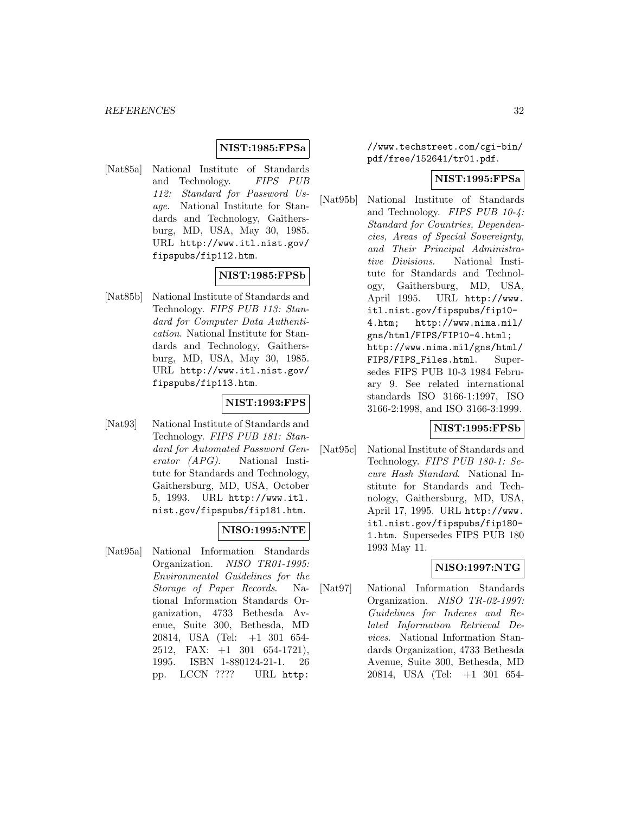### **NIST:1985:FPSa**

[Nat85a] National Institute of Standards and Technology. FIPS PUB 112: Standard for Password Usage. National Institute for Standards and Technology, Gaithersburg, MD, USA, May 30, 1985. URL http://www.itl.nist.gov/ fipspubs/fip112.htm.

### **NIST:1985:FPSb**

[Nat85b] National Institute of Standards and Technology. FIPS PUB 113: Standard for Computer Data Authentication. National Institute for Standards and Technology, Gaithersburg, MD, USA, May 30, 1985. URL http://www.itl.nist.gov/ fipspubs/fip113.htm.

### **NIST:1993:FPS**

[Nat93] National Institute of Standards and Technology. FIPS PUB 181: Standard for Automated Password Generator (APG). National Institute for Standards and Technology, Gaithersburg, MD, USA, October 5, 1993. URL http://www.itl. nist.gov/fipspubs/fip181.htm.

#### **NISO:1995:NTE**

[Nat95a] National Information Standards Organization. NISO TR01-1995: Environmental Guidelines for the Storage of Paper Records. National Information Standards Organization, 4733 Bethesda Avenue, Suite 300, Bethesda, MD 20814, USA (Tel: +1 301 654- 2512, FAX: +1 301 654-1721), 1995. ISBN 1-880124-21-1. 26 pp. LCCN ???? URL http:

//www.techstreet.com/cgi-bin/ pdf/free/152641/tr01.pdf.

#### **NIST:1995:FPSa**

[Nat95b] National Institute of Standards and Technology. FIPS PUB 10-4: Standard for Countries, Dependencies, Areas of Special Sovereignty, and Their Principal Administrative Divisions. National Institute for Standards and Technology, Gaithersburg, MD, USA, April 1995. URL http://www. itl.nist.gov/fipspubs/fip10- 4.htm; http://www.nima.mil/ gns/html/FIPS/FIP10-4.html; http://www.nima.mil/gns/html/ FIPS/FIPS\_Files.html. Supersedes FIPS PUB 10-3 1984 February 9. See related international standards ISO 3166-1:1997, ISO 3166-2:1998, and ISO 3166-3:1999.

### **NIST:1995:FPSb**

[Nat95c] National Institute of Standards and Technology. FIPS PUB 180-1: Secure Hash Standard. National Institute for Standards and Technology, Gaithersburg, MD, USA, April 17, 1995. URL http://www. itl.nist.gov/fipspubs/fip180- 1.htm. Supersedes FIPS PUB 180 1993 May 11.

### **NISO:1997:NTG**

[Nat97] National Information Standards Organization. NISO TR-02-1997: Guidelines for Indexes and Related Information Retrieval Devices. National Information Standards Organization, 4733 Bethesda Avenue, Suite 300, Bethesda, MD 20814, USA (Tel: +1 301 654-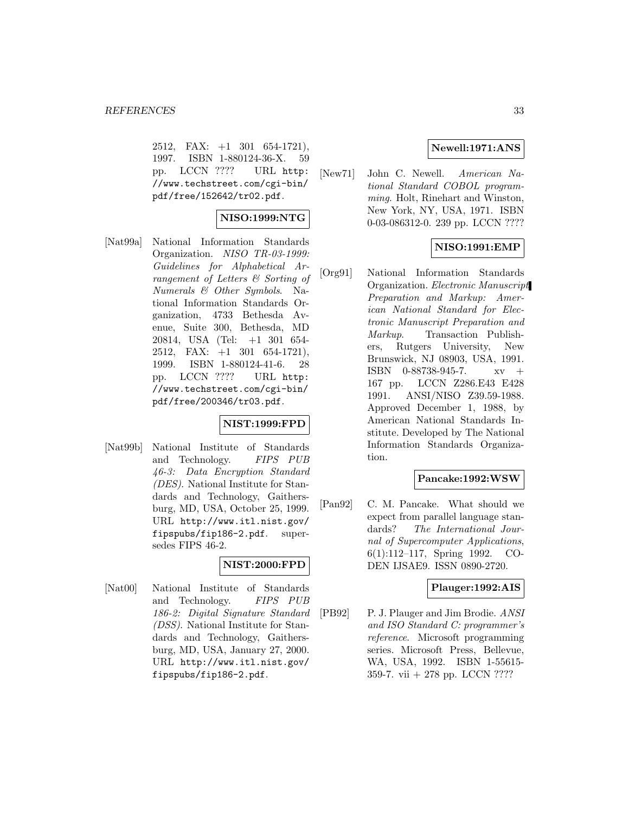2512, FAX: +1 301 654-1721), 1997. ISBN 1-880124-36-X. 59 pp. LCCN ???? URL http: //www.techstreet.com/cgi-bin/ pdf/free/152642/tr02.pdf.

### **NISO:1999:NTG**

[Nat99a] National Information Standards Organization. NISO TR-03-1999: Guidelines for Alphabetical Arrangement of Letters & Sorting of Numerals & Other Symbols. National Information Standards Organization, 4733 Bethesda Avenue, Suite 300, Bethesda, MD 20814, USA (Tel: +1 301 654- 2512, FAX: +1 301 654-1721), 1999. ISBN 1-880124-41-6. 28 pp. LCCN ???? URL http: //www.techstreet.com/cgi-bin/ pdf/free/200346/tr03.pdf.

### **NIST:1999:FPD**

[Nat99b] National Institute of Standards and Technology. FIPS PUB 46-3: Data Encryption Standard (DES). National Institute for Standards and Technology, Gaithersburg, MD, USA, October 25, 1999. URL http://www.itl.nist.gov/ fipspubs/fip186-2.pdf. supersedes FIPS 46-2.

### **NIST:2000:FPD**

[Nat00] National Institute of Standards and Technology. FIPS PUB 186-2: Digital Signature Standard (DSS). National Institute for Standards and Technology, Gaithersburg, MD, USA, January 27, 2000. URL http://www.itl.nist.gov/ fipspubs/fip186-2.pdf.

### **Newell:1971:ANS**

[New71] John C. Newell. American National Standard COBOL programming. Holt, Rinehart and Winston, New York, NY, USA, 1971. ISBN 0-03-086312-0. 239 pp. LCCN ????

### **NISO:1991:EMP**

[Org91] National Information Standards Organization. Electronic Manuscript Preparation and Markup: American National Standard for Electronic Manuscript Preparation and Markup. Transaction Publishers, Rutgers University, New Brunswick, NJ 08903, USA, 1991. ISBN 0-88738-945-7. xv + 167 pp. LCCN Z286.E43 E428 1991. ANSI/NISO Z39.59-1988. Approved December 1, 1988, by American National Standards Institute. Developed by The National Information Standards Organization.

### **Pancake:1992:WSW**

[Pan92] C. M. Pancake. What should we expect from parallel language standards? The International Journal of Supercomputer Applications, 6(1):112–117, Spring 1992. CO-DEN IJSAE9. ISSN 0890-2720.

#### **Plauger:1992:AIS**

[PB92] P. J. Plauger and Jim Brodie. ANSI and ISO Standard C: programmer's reference. Microsoft programming series. Microsoft Press, Bellevue, WA, USA, 1992. ISBN 1-55615- 359-7. vii  $+$  278 pp. LCCN ????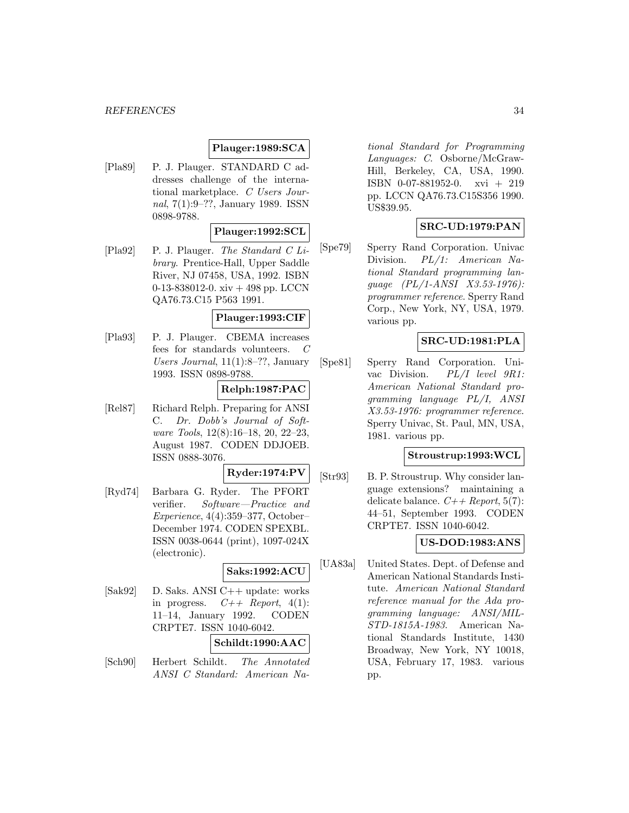#### *REFERENCES* 34

### **Plauger:1989:SCA**

[Pla89] P. J. Plauger. STANDARD C addresses challenge of the international marketplace. C Users Journal, 7(1):9–??, January 1989. ISSN 0898-9788.

#### **Plauger:1992:SCL**

 $[Pa92]$  P. J. Plauger. The Standard C Library. Prentice-Hall, Upper Saddle River, NJ 07458, USA, 1992. ISBN 0-13-838012-0. xiv + 498 pp. LCCN QA76.73.C15 P563 1991.

#### **Plauger:1993:CIF**

[Pla93] P. J. Plauger. CBEMA increases fees for standards volunteers. C Users Journal, 11(1):8–??, January 1993. ISSN 0898-9788.

### **Relph:1987:PAC**

[Rel87] Richard Relph. Preparing for ANSI C. Dr. Dobb's Journal of Software Tools, 12(8):16–18, 20, 22–23, August 1987. CODEN DDJOEB. ISSN 0888-3076.

**Ryder:1974:PV**

[Ryd74] Barbara G. Ryder. The PFORT verifier. Software—Practice and Experience, 4(4):359–377, October– December 1974. CODEN SPEXBL. ISSN 0038-0644 (print), 1097-024X (electronic).

### **Saks:1992:ACU**

[Sak92] D. Saks. ANSI C++ update: works in progress.  $C++$  Report, 4(1): 11–14, January 1992. CODEN CRPTE7. ISSN 1040-6042.

### **Schildt:1990:AAC**

[Sch90] Herbert Schildt. The Annotated ANSI C Standard: American National Standard for Programming Languages: C. Osborne/McGraw-Hill, Berkeley, CA, USA, 1990. ISBN 0-07-881952-0. xvi + 219 pp. LCCN QA76.73.C15S356 1990. US\$39.95.

#### **SRC-UD:1979:PAN**

[Spe79] Sperry Rand Corporation. Univac Division. PL/1: American National Standard programming language (PL/1-ANSI X3.53-1976): programmer reference. Sperry Rand Corp., New York, NY, USA, 1979. various pp.

### **SRC-UD:1981:PLA**

[Spe81] Sperry Rand Corporation. Univac Division. PL/I level 9R1: American National Standard programming language PL/I, ANSI X3.53-1976: programmer reference. Sperry Univac, St. Paul, MN, USA, 1981. various pp.

### **Stroustrup:1993:WCL**

[Str93] B. P. Stroustrup. Why consider language extensions? maintaining a delicate balance.  $C++$  Report, 5(7): 44–51, September 1993. CODEN CRPTE7. ISSN 1040-6042.

# **US-DOD:1983:ANS**

[UA83a] United States. Dept. of Defense and American National Standards Institute. American National Standard reference manual for the Ada programming language: ANSI/MIL-STD-1815A-1983. American National Standards Institute, 1430 Broadway, New York, NY 10018, USA, February 17, 1983. various pp.